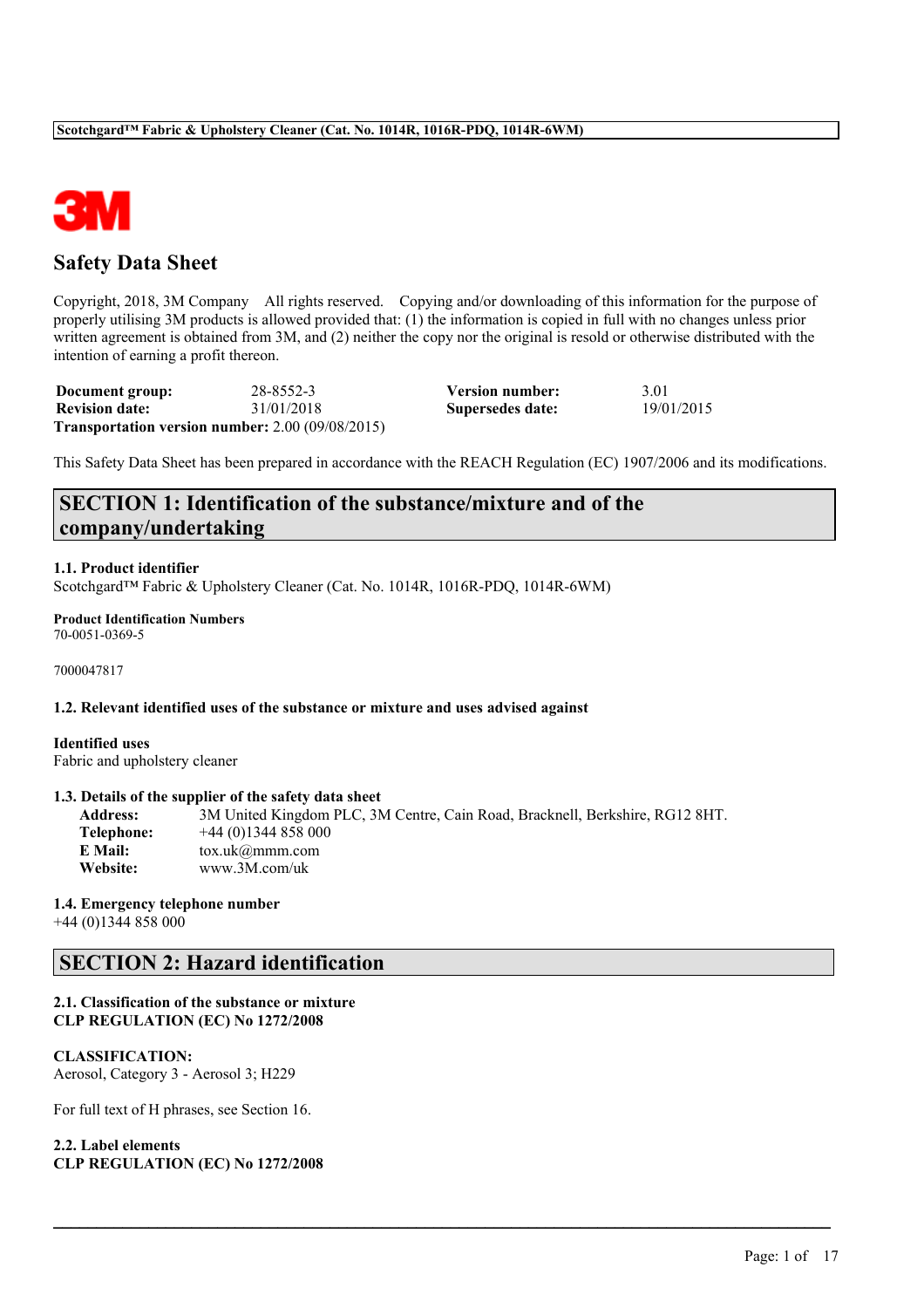

# **Safety Data Sheet**

Copyright, 2018, 3M Company All rights reserved. Copying and/or downloading of this information for the purpose of properly utilising 3M products is allowed provided that: (1) the information is copied in full with no changes unless prior written agreement is obtained from 3M, and (2) neither the copy nor the original is resold or otherwise distributed with the intention of earning a profit thereon.

| Document group:       | 28-8552-3                                        | <b>Version number:</b> | 3.01       |
|-----------------------|--------------------------------------------------|------------------------|------------|
| <b>Revision date:</b> | 31/01/2018                                       | Supersedes date:       | 19/01/2015 |
|                       | Transportation version number: 2.00 (09/08/2015) |                        |            |

This Safety Data Sheet has been prepared in accordance with the REACH Regulation (EC) 1907/2006 and its modifications.

# **SECTION 1: Identification of the substance/mixture and of the company/undertaking**

### **1.1. Product identifier**

Scotchgard™ Fabric & Upholstery Cleaner (Cat. No. 1014R, 1016R-PDQ, 1014R-6WM)

#### **Product Identification Numbers** 70-0051-0369-5

7000047817

### **1.2. Relevant identified uses of the substance or mixture and uses advised against**

## **Identified uses**

Fabric and upholstery cleaner

### **1.3. Details of the supplier of the safety data sheet**

**Address:** 3M United Kingdom PLC, 3M Centre, Cain Road, Bracknell, Berkshire, RG12 8HT. **Telephone:** +44 (0)1344 858 000 **E Mail:** tox.uk@mmm.com **Website:** www.3M.com/uk

 $\mathcal{L}_\mathcal{L} = \mathcal{L}_\mathcal{L} = \mathcal{L}_\mathcal{L} = \mathcal{L}_\mathcal{L} = \mathcal{L}_\mathcal{L} = \mathcal{L}_\mathcal{L} = \mathcal{L}_\mathcal{L} = \mathcal{L}_\mathcal{L} = \mathcal{L}_\mathcal{L} = \mathcal{L}_\mathcal{L} = \mathcal{L}_\mathcal{L} = \mathcal{L}_\mathcal{L} = \mathcal{L}_\mathcal{L} = \mathcal{L}_\mathcal{L} = \mathcal{L}_\mathcal{L} = \mathcal{L}_\mathcal{L} = \mathcal{L}_\mathcal{L}$ 

### **1.4. Emergency telephone number**

+44 (0)1344 858 000

# **SECTION 2: Hazard identification**

### **2.1. Classification of the substance or mixture CLP REGULATION (EC) No 1272/2008**

### **CLASSIFICATION:**

Aerosol, Category 3 - Aerosol 3; H229

For full text of H phrases, see Section 16.

```
2.2. Label elements
CLP REGULATION (EC) No 1272/2008
```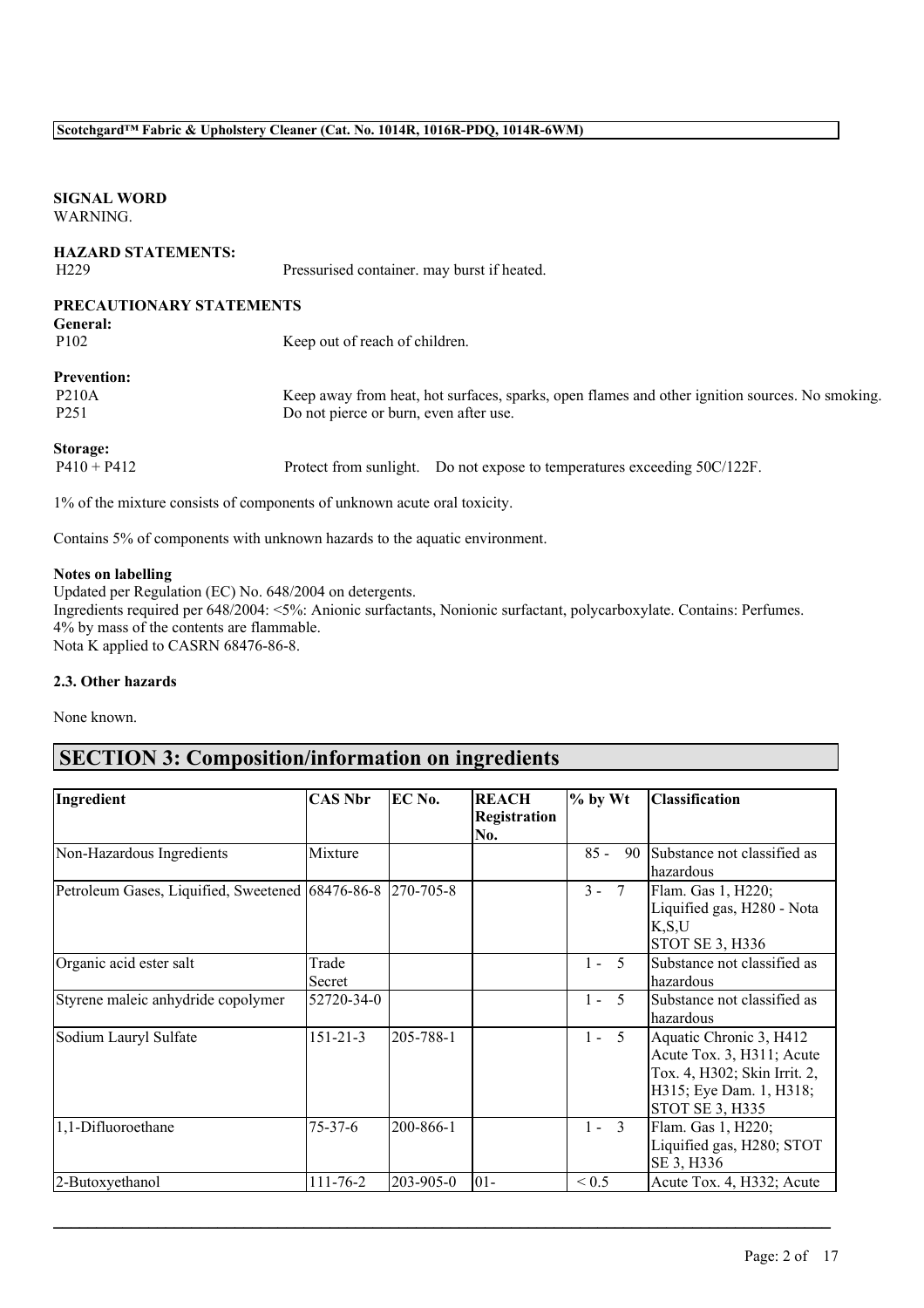## **SIGNAL WORD** WARNING.

| <b>HAZARD STATEMENTS:</b><br>H <sub>229</sub> | Pressurised container. may burst if heated.                                                    |
|-----------------------------------------------|------------------------------------------------------------------------------------------------|
| PRECAUTIONARY STATEMENTS                      |                                                                                                |
| <b>General:</b>                               |                                                                                                |
| P <sub>102</sub>                              | Keep out of reach of children.                                                                 |
| <b>Prevention:</b>                            |                                                                                                |
| <b>P210A</b>                                  | Keep away from heat, hot surfaces, sparks, open flames and other ignition sources. No smoking. |
| P <sub>251</sub>                              | Do not pierce or burn, even after use.                                                         |
| <b>Storage:</b>                               |                                                                                                |
| $P410 + P412$                                 | Protect from sunlight. Do not expose to temperatures exceeding 50C/122F.                       |
|                                               | $10/101$ $11$ $11$ $11$ $11$                                                                   |

1% of the mixture consists of components of unknown acute oral toxicity.

Contains 5% of components with unknown hazards to the aquatic environment.

## **Notes on labelling**

Updated per Regulation (EC) No. 648/2004 on detergents. Ingredients required per 648/2004: <5%: Anionic surfactants, Nonionic surfactant, polycarboxylate. Contains: Perfumes. 4% by mass of the contents are flammable. Nota K applied to CASRN 68476-86-8.

### **2.3. Other hazards**

None known.

# **SECTION 3: Composition/information on ingredients**

|                                                  |                | EC No.    |              |                                   |                              |
|--------------------------------------------------|----------------|-----------|--------------|-----------------------------------|------------------------------|
| Ingredient                                       | <b>CAS Nbr</b> |           | <b>REACH</b> | $%$ by Wt                         | <b>Classification</b>        |
|                                                  |                |           | Registration |                                   |                              |
|                                                  |                |           | No.          |                                   |                              |
| Non-Hazardous Ingredients                        | Mixture        |           |              | $85 -$<br>90                      | Substance not classified as  |
|                                                  |                |           |              |                                   | hazardous                    |
| Petroleum Gases, Liquified, Sweetened 68476-86-8 |                | 270-705-8 |              | $3 - 7$                           | Flam. Gas 1, H220;           |
|                                                  |                |           |              |                                   | Liquified gas, H280 - Nota   |
|                                                  |                |           |              |                                   | K, S, U                      |
|                                                  |                |           |              |                                   | STOT SE 3, H336              |
| Organic acid ester salt                          | Trade          |           |              | $\overline{\mathcal{L}}$<br>$1 -$ | Substance not classified as  |
|                                                  | Secret         |           |              |                                   | hazardous                    |
| Styrene maleic anhydride copolymer               | 52720-34-0     |           |              | $1 - 5$                           | Substance not classified as  |
|                                                  |                |           |              |                                   | hazardous                    |
| Sodium Lauryl Sulfate                            | $151 - 21 - 3$ | 205-788-1 |              | 5<br>$1 -$                        | Aquatic Chronic 3, H412      |
|                                                  |                |           |              |                                   | Acute Tox. 3, H311; Acute    |
|                                                  |                |           |              |                                   | Tox. 4, H302; Skin Irrit. 2, |
|                                                  |                |           |              |                                   | H315; Eye Dam. 1, H318;      |
|                                                  |                |           |              |                                   | <b>STOT SE 3, H335</b>       |
| 1,1-Difluoroethane                               | $75 - 37 - 6$  | 200-866-1 |              | $1 - 3$                           | Flam. Gas 1, H220;           |
|                                                  |                |           |              |                                   | Liquified gas, H280; STOT    |
|                                                  |                |           |              |                                   | SE 3, H336                   |
| 2-Butoxyethanol                                  | 111-76-2       | 203-905-0 | $ 01 -$      | ${}_{0.5}$                        | Acute Tox. 4, H332; Acute    |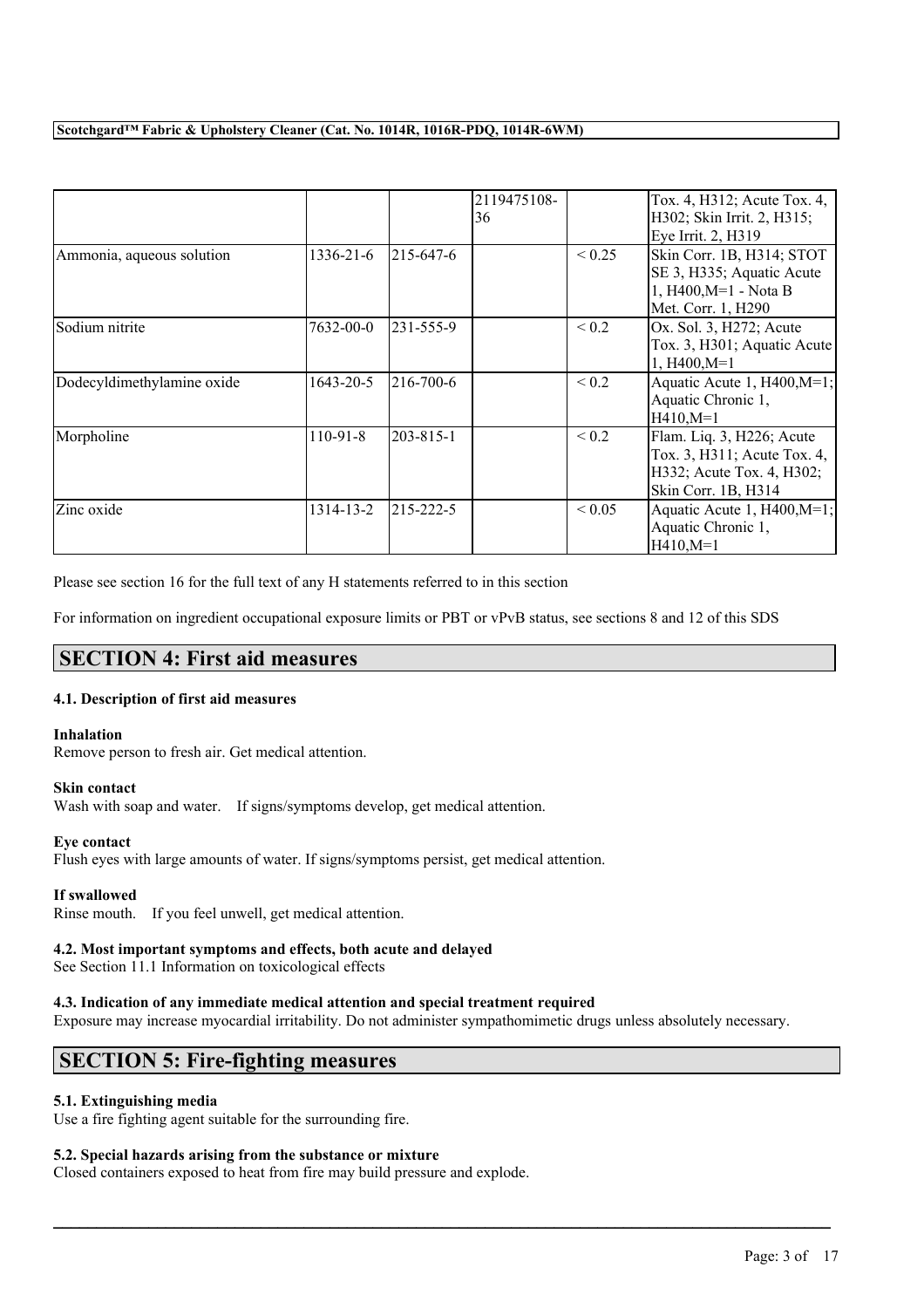|                            |            |           | 2119475108-<br>36 |             | Tox. 4, H312; Acute Tox. 4,<br>H302; Skin Irrit. 2, H315;<br>Eye Irrit. 2, H319                              |
|----------------------------|------------|-----------|-------------------|-------------|--------------------------------------------------------------------------------------------------------------|
| Ammonia, aqueous solution  | 1336-21-6  | 215-647-6 |                   | ${}_{0.25}$ | Skin Corr. 1B, H314; STOT<br>SE 3, H335; Aquatic Acute<br>1, H400, M=1 - Nota B<br>Met. Corr. 1, H290        |
| Sodium nitrite             | 7632-00-0  | 231-555-9 |                   | ${}_{0.2}$  | Ox. Sol. 3, H272; Acute<br>Tox. 3, H301; Aquatic Acute<br>$1, H400, M=1$                                     |
| Dodecyldimethylamine oxide | 1643-20-5  | 216-700-6 |                   | ${}_{0.2}$  | Aquatic Acute 1, $H400,M=1$ ;<br>Aquatic Chronic 1,<br>$H410,M=1$                                            |
| Morpholine                 | $110-91-8$ | 203-815-1 |                   | ${}_{0.2}$  | Flam. Liq. 3, H226; Acute<br>Tox. 3, H311; Acute Tox. 4,<br>H332; Acute Tox. 4, H302;<br>Skin Corr. 1B, H314 |
| Zinc oxide                 | 1314-13-2  | 215-222-5 |                   | ${}_{0.05}$ | Aquatic Acute 1, H400, M=1;<br>Aquatic Chronic 1,<br>$H410,M=1$                                              |

Please see section 16 for the full text of any H statements referred to in this section

For information on ingredient occupational exposure limits or PBT or vPvB status, see sections 8 and 12 of this SDS

# **SECTION 4: First aid measures**

## **4.1. Description of first aid measures**

### **Inhalation**

Remove person to fresh air. Get medical attention.

### **Skin contact**

Wash with soap and water. If signs/symptoms develop, get medical attention.

### **Eye contact**

Flush eyes with large amounts of water. If signs/symptoms persist, get medical attention.

### **If swallowed**

Rinse mouth. If you feel unwell, get medical attention.

### **4.2. Most important symptoms and effects, both acute and delayed**

See Section 11.1 Information on toxicological effects

### **4.3. Indication of any immediate medical attention and special treatment required**

Exposure may increase myocardial irritability. Do not administer sympathomimetic drugs unless absolutely necessary.

 $\mathcal{L}_\mathcal{L} = \mathcal{L}_\mathcal{L} = \mathcal{L}_\mathcal{L} = \mathcal{L}_\mathcal{L} = \mathcal{L}_\mathcal{L} = \mathcal{L}_\mathcal{L} = \mathcal{L}_\mathcal{L} = \mathcal{L}_\mathcal{L} = \mathcal{L}_\mathcal{L} = \mathcal{L}_\mathcal{L} = \mathcal{L}_\mathcal{L} = \mathcal{L}_\mathcal{L} = \mathcal{L}_\mathcal{L} = \mathcal{L}_\mathcal{L} = \mathcal{L}_\mathcal{L} = \mathcal{L}_\mathcal{L} = \mathcal{L}_\mathcal{L}$ 

# **SECTION 5: Fire-fighting measures**

### **5.1. Extinguishing media**

Use a fire fighting agent suitable for the surrounding fire.

### **5.2. Special hazards arising from the substance or mixture**

Closed containers exposed to heat from fire may build pressure and explode.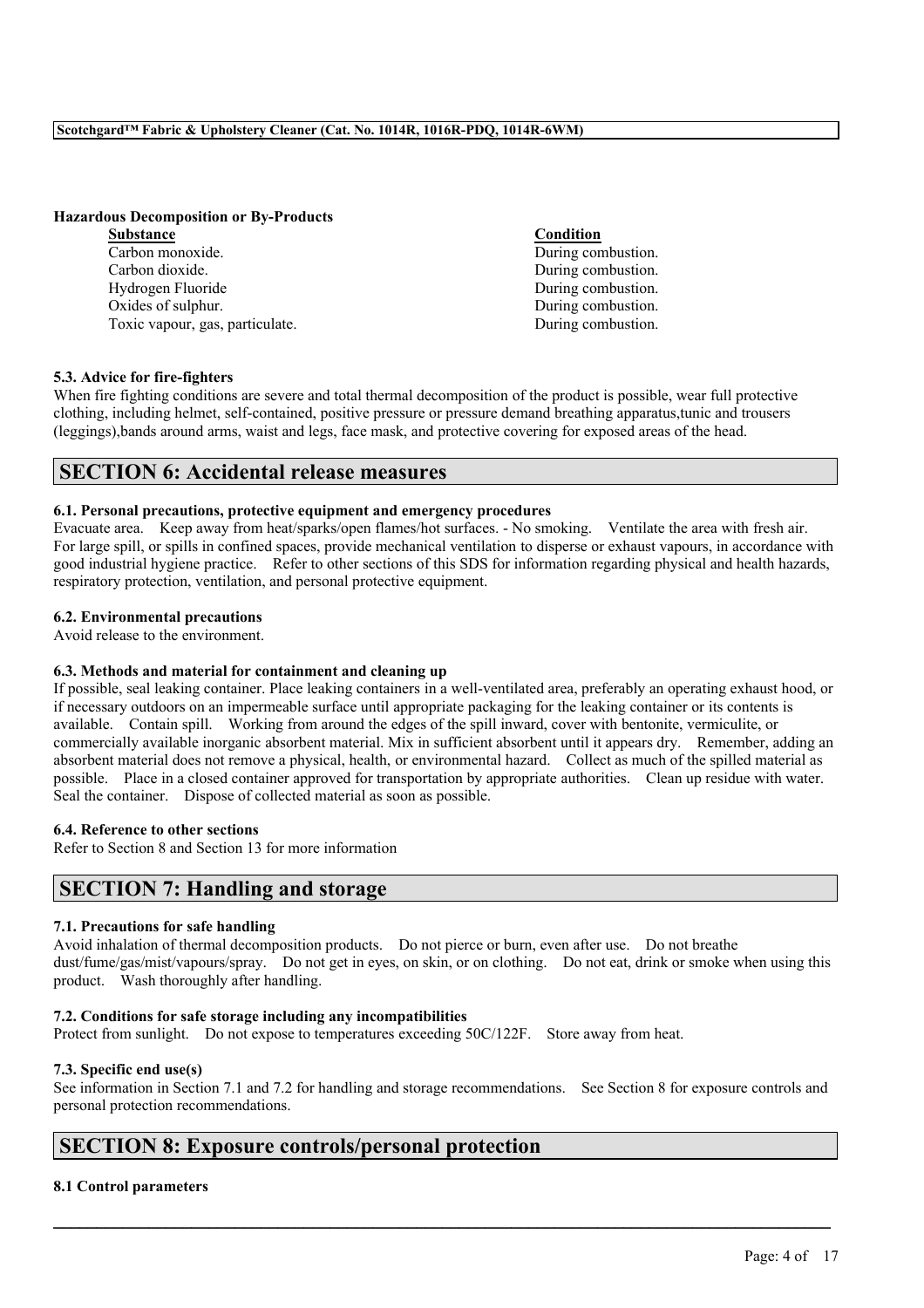### **Hazardous Decomposition or By-Products**

**Substance Condition** Carbon monoxide. During combustion. Carbon dioxide. During combustion. Hydrogen Fluoride **During Combustion** Oxides of sulphur. During combustion. Toxic vapour, gas, particulate. During combustion.

### **5.3. Advice for fire-fighters**

When fire fighting conditions are severe and total thermal decomposition of the product is possible, wear full protective clothing, including helmet, self-contained, positive pressure or pressure demand breathing apparatus,tunic and trousers (leggings),bands around arms, waist and legs, face mask, and protective covering for exposed areas of the head.

# **SECTION 6: Accidental release measures**

### **6.1. Personal precautions, protective equipment and emergency procedures**

Evacuate area. Keep away from heat/sparks/open flames/hot surfaces. - No smoking. Ventilate the area with fresh air. For large spill, or spills in confined spaces, provide mechanical ventilation to disperse or exhaust vapours, in accordance with good industrial hygiene practice. Refer to other sections of this SDS for information regarding physical and health hazards, respiratory protection, ventilation, and personal protective equipment.

### **6.2. Environmental precautions**

Avoid release to the environment.

### **6.3. Methods and material for containment and cleaning up**

If possible, seal leaking container. Place leaking containers in a well-ventilated area, preferably an operating exhaust hood, or if necessary outdoors on an impermeable surface until appropriate packaging for the leaking container or its contents is available. Contain spill. Working from around the edges of the spill inward, cover with bentonite, vermiculite, or commercially available inorganic absorbent material. Mix in sufficient absorbent until it appears dry. Remember, adding an absorbent material does not remove a physical, health, or environmental hazard. Collect as much of the spilled material as possible. Place in a closed container approved for transportation by appropriate authorities. Clean up residue with water. Seal the container. Dispose of collected material as soon as possible.

## **6.4. Reference to other sections**

Refer to Section 8 and Section 13 for more information

# **SECTION 7: Handling and storage**

### **7.1. Precautions for safe handling**

Avoid inhalation of thermal decomposition products. Do not pierce or burn, even after use. Do not breathe dust/fume/gas/mist/vapours/spray. Do not get in eyes, on skin, or on clothing. Do not eat, drink or smoke when using this product. Wash thoroughly after handling.

### **7.2. Conditions for safe storage including any incompatibilities**

Protect from sunlight. Do not expose to temperatures exceeding 50C/122F. Store away from heat.

### **7.3. Specific end use(s)**

See information in Section 7.1 and 7.2 for handling and storage recommendations. See Section 8 for exposure controls and personal protection recommendations.

 $\mathcal{L}_\mathcal{L} = \mathcal{L}_\mathcal{L} = \mathcal{L}_\mathcal{L} = \mathcal{L}_\mathcal{L} = \mathcal{L}_\mathcal{L} = \mathcal{L}_\mathcal{L} = \mathcal{L}_\mathcal{L} = \mathcal{L}_\mathcal{L} = \mathcal{L}_\mathcal{L} = \mathcal{L}_\mathcal{L} = \mathcal{L}_\mathcal{L} = \mathcal{L}_\mathcal{L} = \mathcal{L}_\mathcal{L} = \mathcal{L}_\mathcal{L} = \mathcal{L}_\mathcal{L} = \mathcal{L}_\mathcal{L} = \mathcal{L}_\mathcal{L}$ 

# **SECTION 8: Exposure controls/personal protection**

### **8.1 Control parameters**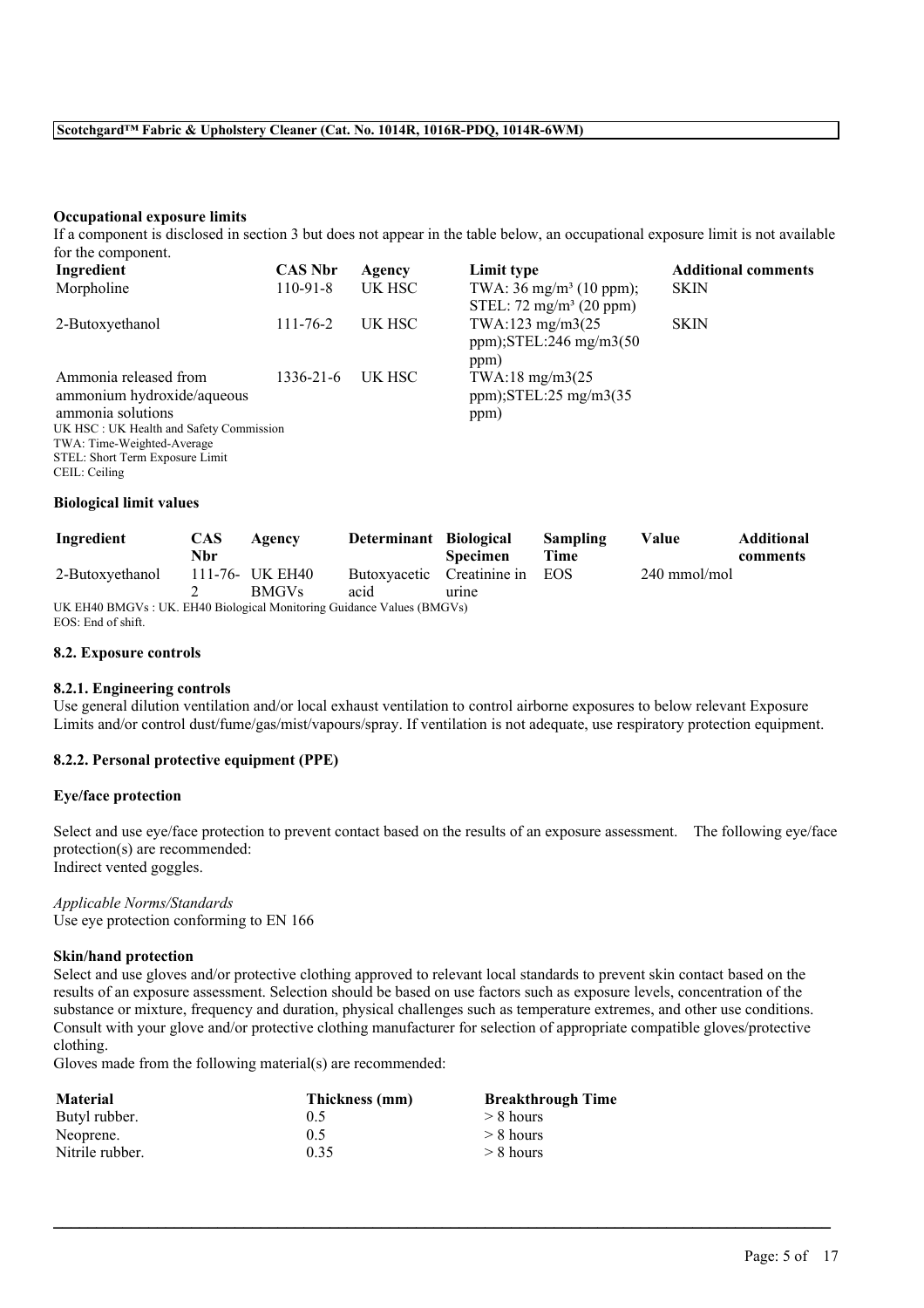### **Occupational exposure limits**

If a component is disclosed in section 3 but does not appear in the table below, an occupational exposure limit is not available for the component.

| Ingredient                                                                                                                                                                                            | <b>CAS Nbr</b> | Agency | Limit type                                                               | <b>Additional comments</b> |
|-------------------------------------------------------------------------------------------------------------------------------------------------------------------------------------------------------|----------------|--------|--------------------------------------------------------------------------|----------------------------|
| Morpholine                                                                                                                                                                                            | $110-91-8$     | UK HSC | TWA: $36 \text{ mg/m}^3$ (10 ppm);<br>STEL: $72 \text{ mg/m}^3$ (20 ppm) | <b>SKIN</b>                |
| 2-Butoxyethanol                                                                                                                                                                                       | $111 - 76 - 2$ | UK HSC | TWA:123 mg/m3(25)<br>ppm); $STEL:246$ mg/m $3(50)$<br>ppm)               | <b>SKIN</b>                |
| Ammonia released from<br>ammonium hydroxide/aqueous<br>ammonia solutions<br>UK HSC: UK Health and Safety Commission<br>TWA: Time-Weighted-Average<br>STEL: Short Term Exposure Limit<br>CEIL: Ceiling | 1336-21-6      | UK HSC | TWA:18 mg/m3 $(25$<br>$ppm$ );STEL:25 mg/m3(35)<br>ppm)                  |                            |

## **Biological limit values**

| Ingredient                                                             | <b>CAS</b> | Agency          | Determinant Biological     |                 | Sampling | Value        | <b>Additional</b> |
|------------------------------------------------------------------------|------------|-----------------|----------------------------|-----------------|----------|--------------|-------------------|
|                                                                        | Nbr        |                 |                            | <b>Specimen</b> | Time     |              | comments          |
| 2-Butoxyethanol                                                        |            | 111-76- UK EH40 | Butoxyacetic Creatinine in |                 | EOS      | 240 mmol/mol |                   |
|                                                                        |            | <b>BMGVs</b>    | acid                       | urine           |          |              |                   |
| UK EH40 BMGVs : UK. EH40 Biological Monitoring Guidance Values (BMGVs) |            |                 |                            |                 |          |              |                   |

EOS: End of shift.

### **8.2. Exposure controls**

### **8.2.1. Engineering controls**

Use general dilution ventilation and/or local exhaust ventilation to control airborne exposures to below relevant Exposure Limits and/or control dust/fume/gas/mist/vapours/spray. If ventilation is not adequate, use respiratory protection equipment.

### **8.2.2. Personal protective equipment (PPE)**

### **Eye/face protection**

Select and use eye/face protection to prevent contact based on the results of an exposure assessment. The following eye/face protection(s) are recommended: Indirect vented goggles.

### *Applicable Norms/Standards* Use eye protection conforming to EN 166

#### **Skin/hand protection**

Select and use gloves and/or protective clothing approved to relevant local standards to prevent skin contact based on the results of an exposure assessment. Selection should be based on use factors such as exposure levels, concentration of the substance or mixture, frequency and duration, physical challenges such as temperature extremes, and other use conditions. Consult with your glove and/or protective clothing manufacturer for selection of appropriate compatible gloves/protective clothing.

 $\mathcal{L}_\mathcal{L} = \mathcal{L}_\mathcal{L} = \mathcal{L}_\mathcal{L} = \mathcal{L}_\mathcal{L} = \mathcal{L}_\mathcal{L} = \mathcal{L}_\mathcal{L} = \mathcal{L}_\mathcal{L} = \mathcal{L}_\mathcal{L} = \mathcal{L}_\mathcal{L} = \mathcal{L}_\mathcal{L} = \mathcal{L}_\mathcal{L} = \mathcal{L}_\mathcal{L} = \mathcal{L}_\mathcal{L} = \mathcal{L}_\mathcal{L} = \mathcal{L}_\mathcal{L} = \mathcal{L}_\mathcal{L} = \mathcal{L}_\mathcal{L}$ 

Gloves made from the following material(s) are recommended:

| <b>Material</b> | Thickness (mm) | <b>Breakthrough Time</b> |
|-----------------|----------------|--------------------------|
| Butyl rubber.   | 0.5            | $> 8$ hours              |
| Neoprene.       | 0.5            | $> 8$ hours              |
| Nitrile rubber. | 0.35           | $> 8$ hours              |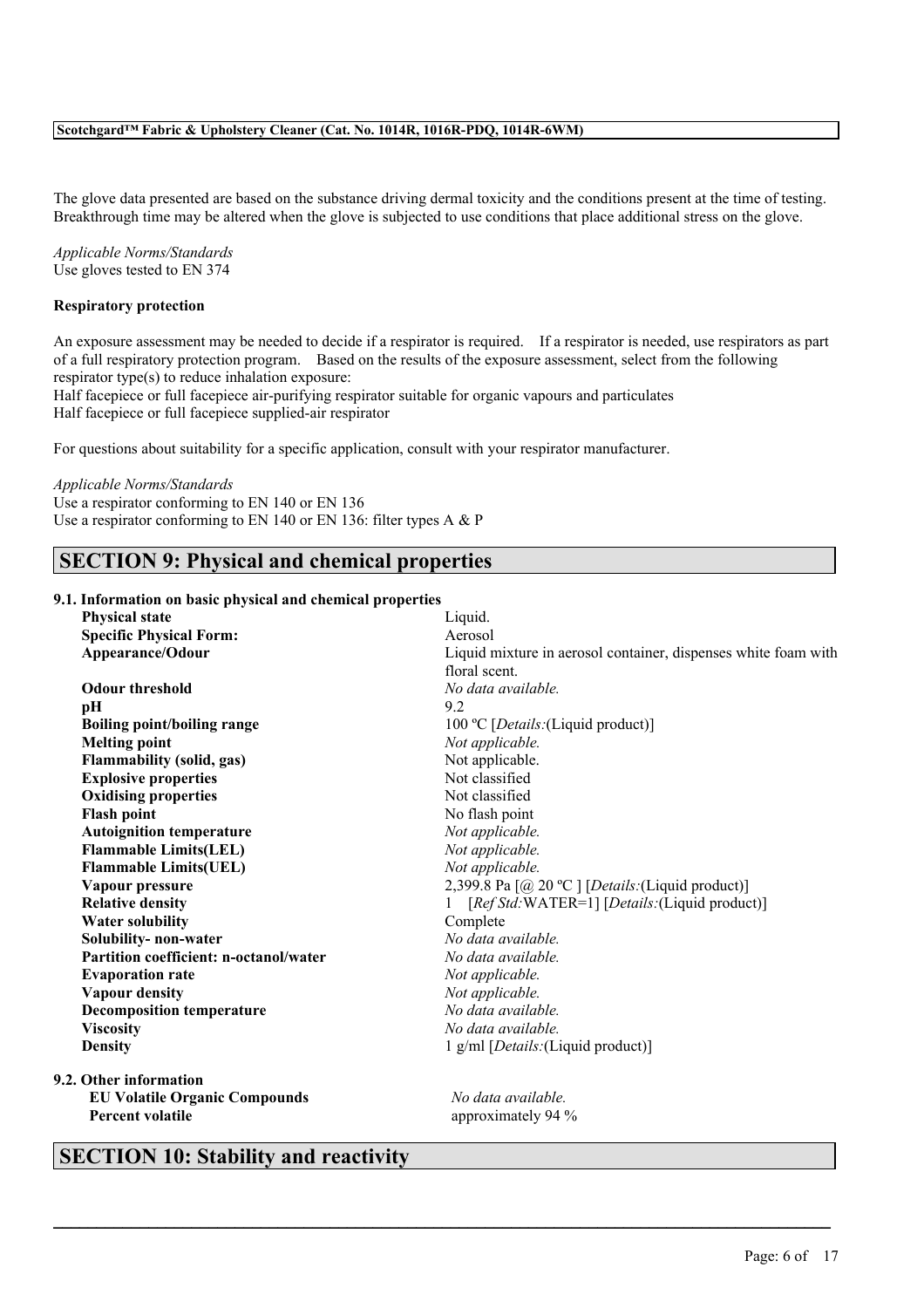The glove data presented are based on the substance driving dermal toxicity and the conditions present at the time of testing. Breakthrough time may be altered when the glove is subjected to use conditions that place additional stress on the glove.

*Applicable Norms/Standards* Use gloves tested to EN 374

### **Respiratory protection**

An exposure assessment may be needed to decide if a respirator is required. If a respirator is needed, use respirators as part of a full respiratory protection program. Based on the results of the exposure assessment, select from the following respirator type(s) to reduce inhalation exposure:

Half facepiece or full facepiece air-purifying respirator suitable for organic vapours and particulates Half facepiece or full facepiece supplied-air respirator

For questions about suitability for a specific application, consult with your respirator manufacturer.

### *Applicable Norms/Standards*

Use a respirator conforming to EN 140 or EN 136

# Use a respirator conforming to EN 140 or EN 136: filter types A & P

# **SECTION 9: Physical and chemical properties**

#### **9.1. Information on basic physical and chemical properties**

| <b>Physical state</b>                  | Liquid.                                                        |
|----------------------------------------|----------------------------------------------------------------|
| <b>Specific Physical Form:</b>         | Aerosol                                                        |
| Appearance/Odour                       | Liquid mixture in aerosol container, dispenses white foam with |
|                                        | floral scent                                                   |
| <b>Odour threshold</b>                 | No data available.                                             |
| pН                                     | 9.2                                                            |
| <b>Boiling point/boiling range</b>     | 100 °C [ <i>Details</i> : (Liquid product)]                    |
| <b>Melting point</b>                   | Not applicable.                                                |
| Flammability (solid, gas)              | Not applicable.                                                |
| <b>Explosive properties</b>            | Not classified                                                 |
| <b>Oxidising properties</b>            | Not classified                                                 |
| <b>Flash point</b>                     | No flash point                                                 |
| <b>Autoignition temperature</b>        | Not applicable.                                                |
| <b>Flammable Limits(LEL)</b>           | Not applicable.                                                |
| <b>Flammable Limits(UEL)</b>           | Not applicable.                                                |
| Vapour pressure                        | 2,399.8 Pa [@ 20 °C ] [Details: (Liquid product)]              |
| <b>Relative density</b>                | [Ref Std: WATER=1] [Details: (Liquid product)]                 |
| <b>Water solubility</b>                | Complete                                                       |
| Solubility- non-water                  | No data available.                                             |
| Partition coefficient: n-octanol/water | No data available.                                             |
| <b>Evaporation rate</b>                | Not applicable.                                                |
| <b>Vapour density</b>                  | Not applicable.                                                |
| <b>Decomposition temperature</b>       | No data available.                                             |
| <b>Viscosity</b>                       | No data available.                                             |
| <b>Density</b>                         | 1 g/ml [ <i>Details</i> : (Liquid product)]                    |
| 9.2. Other information                 |                                                                |
| <b>EU Volatile Organic Compounds</b>   | No data available.                                             |
| <b>Percent volatile</b>                | approximately 94 %                                             |
|                                        |                                                                |

 $\mathcal{L}_\mathcal{L} = \mathcal{L}_\mathcal{L} = \mathcal{L}_\mathcal{L} = \mathcal{L}_\mathcal{L} = \mathcal{L}_\mathcal{L} = \mathcal{L}_\mathcal{L} = \mathcal{L}_\mathcal{L} = \mathcal{L}_\mathcal{L} = \mathcal{L}_\mathcal{L} = \mathcal{L}_\mathcal{L} = \mathcal{L}_\mathcal{L} = \mathcal{L}_\mathcal{L} = \mathcal{L}_\mathcal{L} = \mathcal{L}_\mathcal{L} = \mathcal{L}_\mathcal{L} = \mathcal{L}_\mathcal{L} = \mathcal{L}_\mathcal{L}$ 

# **SECTION 10: Stability and reactivity**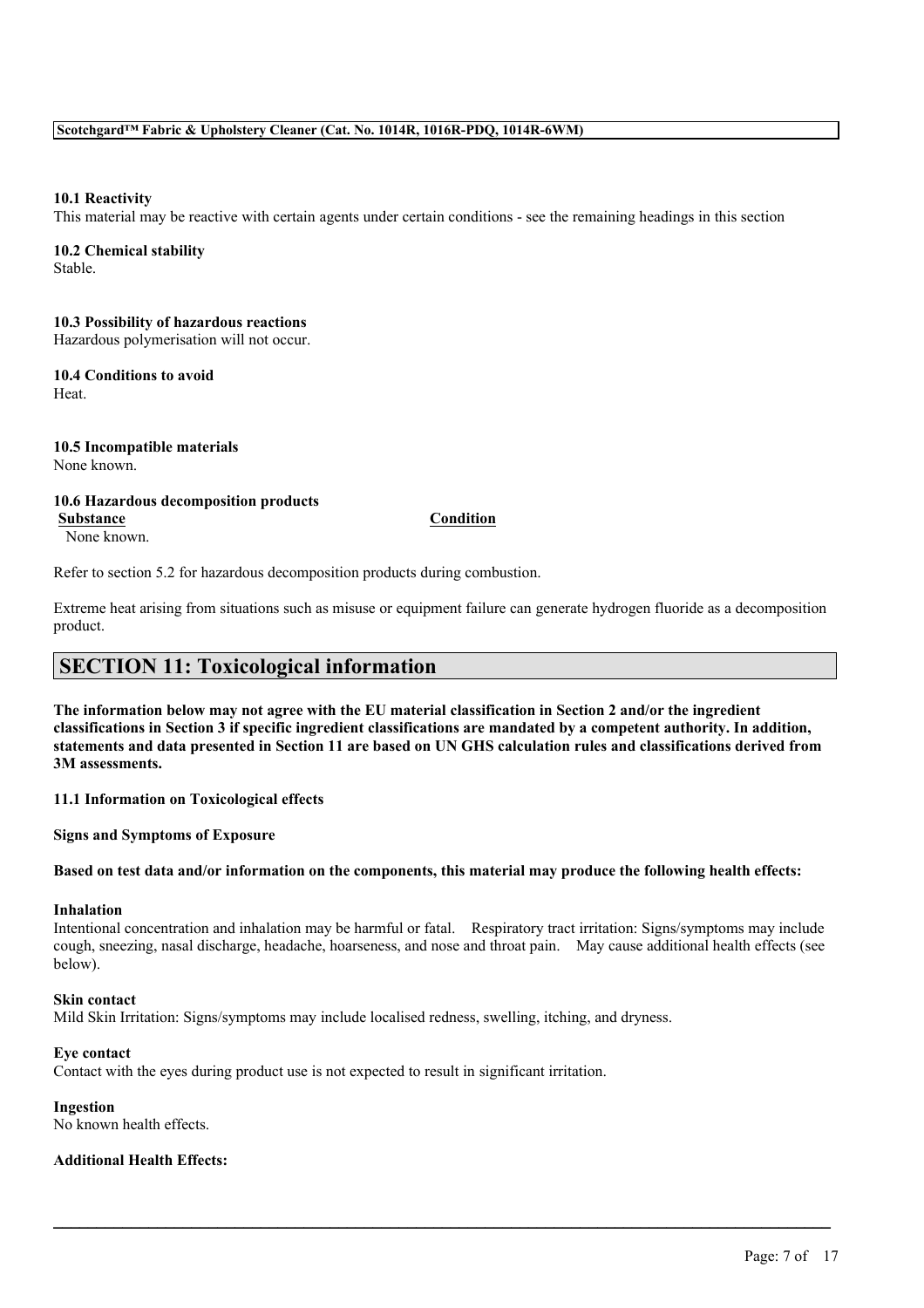### **10.1 Reactivity**

This material may be reactive with certain agents under certain conditions - see the remaining headings in this section

# **10.2 Chemical stability**

Stable.

## **10.3 Possibility of hazardous reactions**

Hazardous polymerisation will not occur.

#### **10.4 Conditions to avoid** Heat.

**10.5 Incompatible materials** None known.

## **10.6 Hazardous decomposition products**

None known.

**Substance Condition**

Refer to section 5.2 for hazardous decomposition products during combustion.

Extreme heat arising from situations such as misuse or equipment failure can generate hydrogen fluoride as a decomposition product.

# **SECTION 11: Toxicological information**

The information below may not agree with the EU material classification in Section 2 and/or the ingredient classifications in Section 3 if specific ingredient classifications are mandated by a competent authority. In addition, statements and data presented in Section 11 are based on UN GHS calculation rules and classifications derived from **3M assessments.**

**11.1 Information on Toxicological effects**

**Signs and Symptoms of Exposure**

Based on test data and/or information on the components, this material may produce the following health effects:

### **Inhalation**

Intentional concentration and inhalation may be harmful or fatal. Respiratory tract irritation: Signs/symptoms may include cough, sneezing, nasal discharge, headache, hoarseness, and nose and throat pain. May cause additional health effects (see below).

 $\mathcal{L}_\mathcal{L} = \mathcal{L}_\mathcal{L} = \mathcal{L}_\mathcal{L} = \mathcal{L}_\mathcal{L} = \mathcal{L}_\mathcal{L} = \mathcal{L}_\mathcal{L} = \mathcal{L}_\mathcal{L} = \mathcal{L}_\mathcal{L} = \mathcal{L}_\mathcal{L} = \mathcal{L}_\mathcal{L} = \mathcal{L}_\mathcal{L} = \mathcal{L}_\mathcal{L} = \mathcal{L}_\mathcal{L} = \mathcal{L}_\mathcal{L} = \mathcal{L}_\mathcal{L} = \mathcal{L}_\mathcal{L} = \mathcal{L}_\mathcal{L}$ 

### **Skin contact**

Mild Skin Irritation: Signs/symptoms may include localised redness, swelling, itching, and dryness.

### **Eye contact**

Contact with the eyes during product use is not expected to result in significant irritation.

### **Ingestion**

No known health effects.

### **Additional Health Effects:**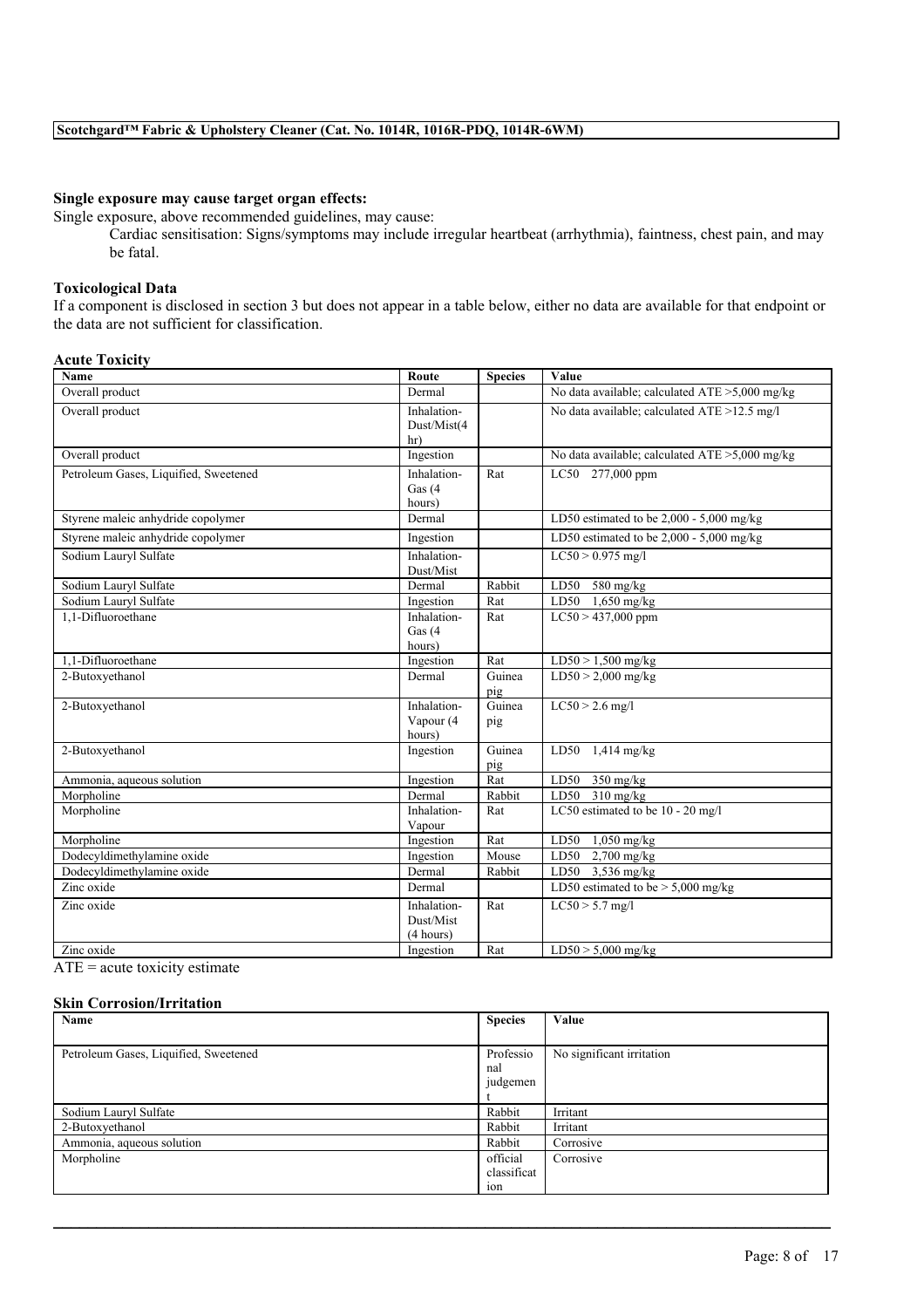## **Single exposure may cause target organ effects:**

Single exposure, above recommended guidelines, may cause:

Cardiac sensitisation: Signs/symptoms may include irregular heartbeat (arrhythmia), faintness, chest pain, and may be fatal.

## **Toxicological Data**

If a component is disclosed in section 3 but does not appear in a table below, either no data are available for that endpoint or the data are not sufficient for classification.

### **Acute Toxicity**

| Name                                  | Route                                 | <b>Species</b> | Value                                             |
|---------------------------------------|---------------------------------------|----------------|---------------------------------------------------|
| Overall product                       | Dermal                                |                | No data available; calculated ATE >5,000 mg/kg    |
| Overall product                       | Inhalation-<br>Dust/Mist(4<br>hr)     |                | No data available; calculated ATE >12.5 mg/l      |
| Overall product                       | Ingestion                             |                | No data available; calculated $ATE > 5,000$ mg/kg |
| Petroleum Gases, Liquified, Sweetened | Inhalation-<br>Gas $(4)$<br>hours)    | Rat            | LC50 277,000 ppm                                  |
| Styrene maleic anhydride copolymer    | Dermal                                |                | LD50 estimated to be $2,000 - 5,000$ mg/kg        |
| Styrene maleic anhydride copolymer    | Ingestion                             |                | LD50 estimated to be $2,000 - 5,000$ mg/kg        |
| Sodium Lauryl Sulfate                 | Inhalation-<br>Dust/Mist              |                | $LC50 > 0.975$ mg/l                               |
| Sodium Lauryl Sulfate                 | Dermal                                | Rabbit         | LD50<br>$580$ mg/kg                               |
| Sodium Lauryl Sulfate                 | Ingestion                             | Rat            | LD50 1,650 mg/kg                                  |
| 1.1-Difluoroethane                    | Inhalation-<br>Gas $(4)$<br>hours)    | Rat            | $LC50 > 437,000$ ppm                              |
| 1.1-Difluoroethane                    | Ingestion                             | Rat            | $LD50 > 1,500$ mg/kg                              |
| 2-Butoxyethanol                       | Dermal                                | Guinea<br>pig  | $LD50 > 2,000$ mg/kg                              |
| 2-Butoxyethanol                       | Inhalation-<br>Vapour (4<br>hours)    | Guinea<br>pig  | $LC50 > 2.6$ mg/l                                 |
| 2-Butoxyethanol                       | Ingestion                             | Guinea<br>pig  | LD50 $1,414$ mg/kg                                |
| Ammonia, aqueous solution             | Ingestion                             | Rat            | LD50<br>$350$ mg/kg                               |
| Morpholine                            | Dermal                                | Rabbit         | LD50 310 mg/kg                                    |
| Morpholine                            | Inhalation-<br>Vapour                 | Rat            | LC50 estimated to be 10 - 20 mg/l                 |
| Morpholine                            | Ingestion                             | Rat            | LD50<br>$1,050$ mg/kg                             |
| Dodecyldimethylamine oxide            | Ingestion                             | Mouse          | LD50<br>$2,700$ mg/kg                             |
| Dodecyldimethylamine oxide            | Dermal                                | Rabbit         | LD50 3,536 mg/kg                                  |
| Zinc oxide                            | Dermal                                |                | LD50 estimated to be $> 5,000$ mg/kg              |
| Zinc oxide                            | Inhalation-<br>Dust/Mist<br>(4 hours) | Rat            | $LC50 > 5.7$ mg/l                                 |
| Zinc oxide                            | Ingestion                             | Rat            | $LD50 > 5,000$ mg/kg                              |

 $ATE = acute$  toxicity estimate

### **Skin Corrosion/Irritation**

| Name                                  | <b>Species</b> | Value                     |
|---------------------------------------|----------------|---------------------------|
|                                       |                |                           |
| Petroleum Gases, Liquified, Sweetened | Professio      | No significant irritation |
|                                       | nal            |                           |
|                                       | judgemen       |                           |
|                                       |                |                           |
| Sodium Lauryl Sulfate                 | Rabbit         | Irritant                  |
| 2-Butoxyethanol                       | Rabbit         | Irritant                  |
| Ammonia, aqueous solution             | Rabbit         | Corrosive                 |
| Morpholine                            | official       | Corrosive                 |
|                                       | classificat    |                           |
|                                       | 10n            |                           |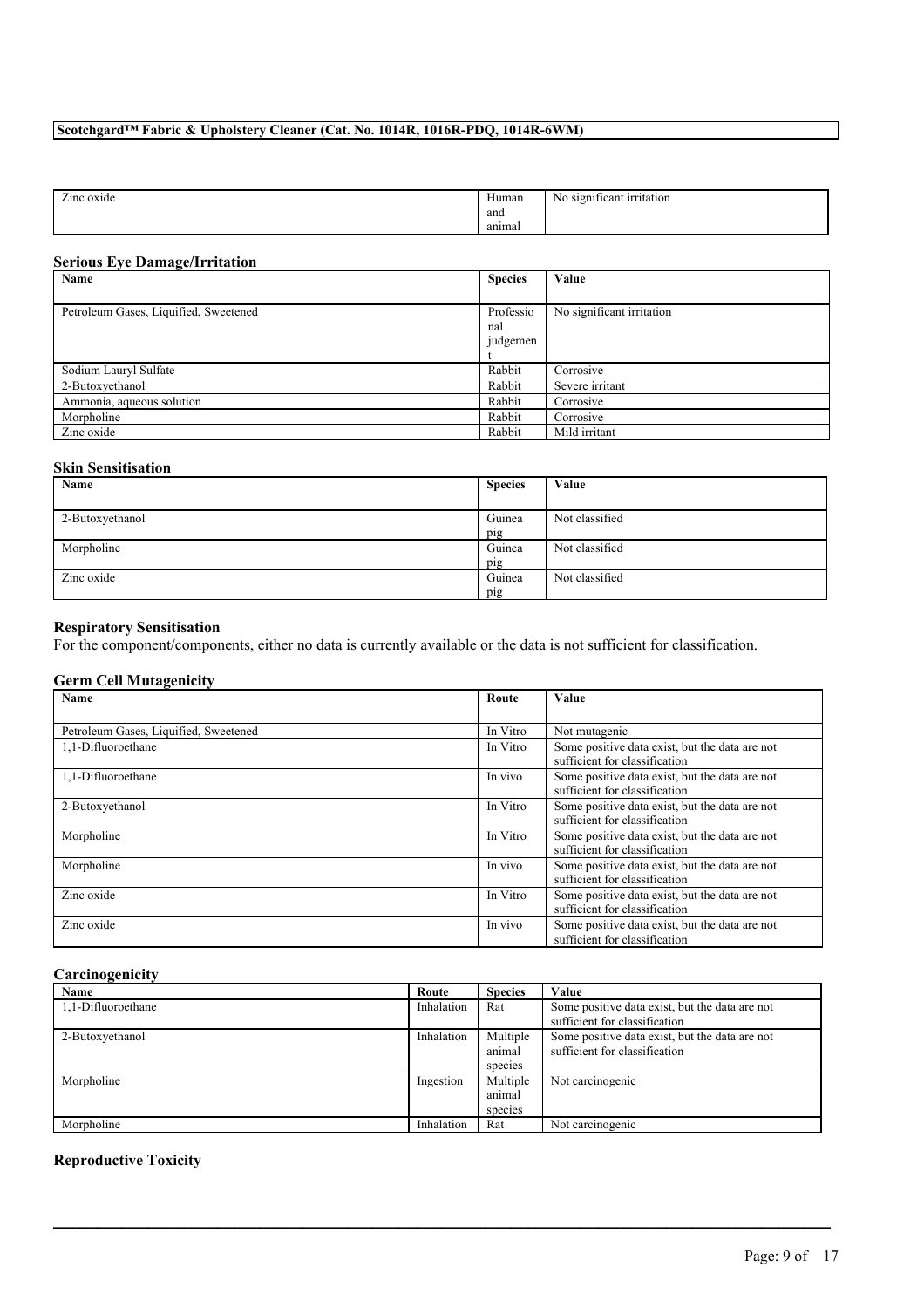| Human<br>oxide<br>$\mathcal{L}$ mc<br>and<br>__<br>anımal | dia significant irritation<br>N0 |
|-----------------------------------------------------------|----------------------------------|
|-----------------------------------------------------------|----------------------------------|

### **Serious Eye Damage/Irritation**

| $\sim$<br>Name                        | <b>Species</b> | Value                     |
|---------------------------------------|----------------|---------------------------|
|                                       |                |                           |
| Petroleum Gases, Liquified, Sweetened | Professio      | No significant irritation |
|                                       | nal            |                           |
|                                       | judgemen       |                           |
|                                       |                |                           |
| Sodium Lauryl Sulfate                 | Rabbit         | Corrosive                 |
| 2-Butoxyethanol                       | Rabbit         | Severe irritant           |
| Ammonia, aqueous solution             | Rabbit         | Corrosive                 |
| Morpholine                            | Rabbit         | Corrosive                 |
| Zinc oxide                            | Rabbit         | Mild irritant             |

### **Skin Sensitisation**

| Name            | <b>Species</b> | Value          |
|-----------------|----------------|----------------|
|                 |                |                |
| 2-Butoxyethanol | Guinea         | Not classified |
|                 | pig            |                |
| Morpholine      | Guinea         | Not classified |
|                 | pig            |                |
| Zinc oxide      | Guinea         | Not classified |
|                 | pig            |                |

### **Respiratory Sensitisation**

For the component/components, either no data is currently available or the data is not sufficient for classification.

## **Germ Cell Mutagenicity**

| Name                                  | Route    | Value                                          |
|---------------------------------------|----------|------------------------------------------------|
|                                       |          |                                                |
| Petroleum Gases, Liquified, Sweetened | In Vitro | Not mutagenic                                  |
| 1.1-Difluoroethane                    | In Vitro | Some positive data exist, but the data are not |
|                                       |          | sufficient for classification                  |
| 1.1-Difluoroethane                    | In vivo  | Some positive data exist, but the data are not |
|                                       |          | sufficient for classification                  |
| 2-Butoxyethanol                       | In Vitro | Some positive data exist, but the data are not |
|                                       |          | sufficient for classification                  |
| Morpholine                            | In Vitro | Some positive data exist, but the data are not |
|                                       |          | sufficient for classification                  |
| Morpholine                            | In vivo  | Some positive data exist, but the data are not |
|                                       |          | sufficient for classification                  |
| Zinc oxide                            | In Vitro | Some positive data exist, but the data are not |
|                                       |          | sufficient for classification                  |
| Zinc oxide                            | In vivo  | Some positive data exist, but the data are not |
|                                       |          | sufficient for classification                  |

## **Carcinogenicity**

| Name               | Route      | <b>Species</b>                | Value                                                                           |
|--------------------|------------|-------------------------------|---------------------------------------------------------------------------------|
| 1,1-Difluoroethane | Inhalation | Rat                           | Some positive data exist, but the data are not<br>sufficient for classification |
| 2-Butoxyethanol    | Inhalation | Multiple<br>animal<br>species | Some positive data exist, but the data are not<br>sufficient for classification |
| Morpholine         | Ingestion  | Multiple<br>animal<br>species | Not carcinogenic                                                                |
| Morpholine         | Inhalation | Rat                           | Not carcinogenic                                                                |

 $\mathcal{L}_\mathcal{L} = \mathcal{L}_\mathcal{L} = \mathcal{L}_\mathcal{L} = \mathcal{L}_\mathcal{L} = \mathcal{L}_\mathcal{L} = \mathcal{L}_\mathcal{L} = \mathcal{L}_\mathcal{L} = \mathcal{L}_\mathcal{L} = \mathcal{L}_\mathcal{L} = \mathcal{L}_\mathcal{L} = \mathcal{L}_\mathcal{L} = \mathcal{L}_\mathcal{L} = \mathcal{L}_\mathcal{L} = \mathcal{L}_\mathcal{L} = \mathcal{L}_\mathcal{L} = \mathcal{L}_\mathcal{L} = \mathcal{L}_\mathcal{L}$ 

## **Reproductive Toxicity**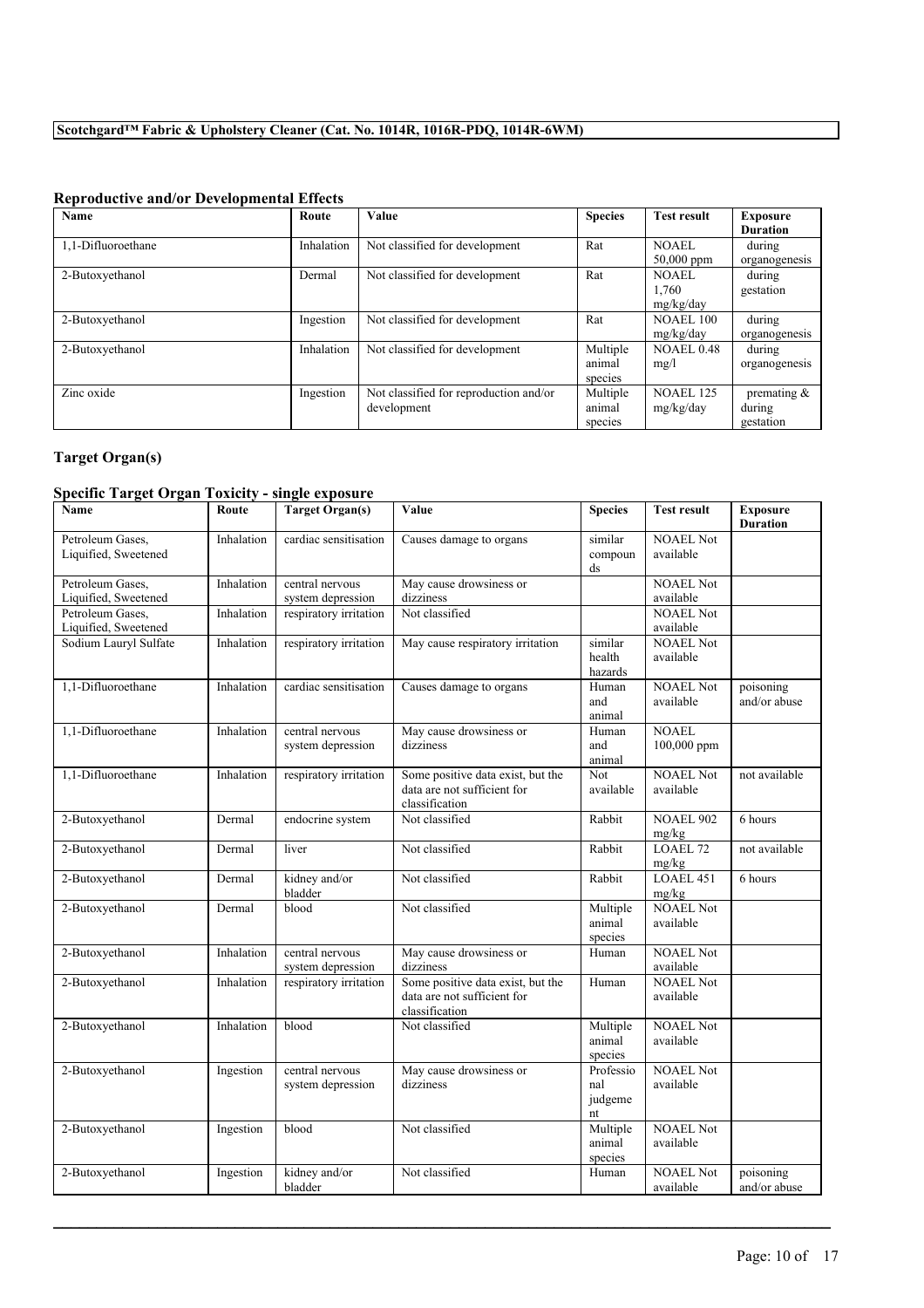# **Reproductive and/or Developmental Effects**

| Name               | Route      | Value                                  | <b>Species</b> | <b>Test result</b> | Exposure        |
|--------------------|------------|----------------------------------------|----------------|--------------------|-----------------|
|                    |            |                                        |                |                    | <b>Duration</b> |
| 1.1-Difluoroethane | Inhalation | Not classified for development         | Rat            | <b>NOAEL</b>       | during          |
|                    |            |                                        |                | $50,000$ ppm       | organogenesis   |
| 2-Butoxyethanol    | Dermal     | Not classified for development         | Rat            | <b>NOAEL</b>       | during          |
|                    |            |                                        |                | 1,760              | gestation       |
|                    |            |                                        |                | mg/kg/day          |                 |
| 2-Butoxyethanol    | Ingestion  | Not classified for development         | Rat            | <b>NOAEL 100</b>   | during          |
|                    |            |                                        |                | mg/kg/day          | organogenesis   |
| 2-Butoxyethanol    | Inhalation | Not classified for development         | Multiple       | <b>NOAEL 0.48</b>  | during          |
|                    |            |                                        | animal         | mg/l               | organogenesis   |
|                    |            |                                        | species        |                    |                 |
| Zinc oxide         | Ingestion  | Not classified for reproduction and/or | Multiple       | <b>NOAEL 125</b>   | premating $\&$  |
|                    |            | development                            | animal         | mg/kg/day          | during          |
|                    |            |                                        | species        |                    | gestation       |

# **Target Organ(s)**

# **Specific Target Organ Toxicity - single exposure**

| Name                                     | Route      | <b>Target Organ(s)</b>               | Value                                                                              | <b>Species</b>                               | <b>Test result</b>            | <b>Exposure</b><br><b>Duration</b> |
|------------------------------------------|------------|--------------------------------------|------------------------------------------------------------------------------------|----------------------------------------------|-------------------------------|------------------------------------|
| Petroleum Gases,<br>Liquified, Sweetened | Inhalation | cardiac sensitisation                | Causes damage to organs                                                            | similar<br>compoun<br>$\mathrm{d}\mathrm{s}$ | <b>NOAEL Not</b><br>available |                                    |
| Petroleum Gases,                         | Inhalation | central nervous                      | May cause drowsiness or                                                            |                                              | <b>NOAEL Not</b>              |                                    |
| Liquified, Sweetened                     |            | system depression                    | dizziness                                                                          |                                              | available                     |                                    |
| Petroleum Gases,<br>Liquified, Sweetened | Inhalation | respiratory irritation               | Not classified                                                                     |                                              | <b>NOAEL Not</b><br>available |                                    |
| Sodium Lauryl Sulfate                    | Inhalation | respiratory irritation               | May cause respiratory irritation                                                   | similar<br>health<br>hazards                 | <b>NOAEL Not</b><br>available |                                    |
| 1,1-Difluoroethane                       | Inhalation | cardiac sensitisation                | Causes damage to organs                                                            | Human<br>and<br>animal                       | <b>NOAEL Not</b><br>available | poisoning<br>and/or abuse          |
| 1,1-Difluoroethane                       | Inhalation | central nervous<br>system depression | May cause drowsiness or<br>dizziness                                               | Human<br>and<br>animal                       | <b>NOAEL</b><br>100,000 ppm   |                                    |
| 1,1-Difluoroethane                       | Inhalation | respiratory irritation               | Some positive data exist, but the<br>data are not sufficient for<br>classification | $\overline{\text{Not}}$<br>available         | <b>NOAEL Not</b><br>available | not available                      |
| 2-Butoxyethanol                          | Dermal     | endocrine system                     | Not classified                                                                     | Rabbit                                       | <b>NOAEL 902</b><br>mg/kg     | 6 hours                            |
| 2-Butoxyethanol                          | Dermal     | liver                                | Not classified                                                                     | Rabbit                                       | LOAEL <sub>72</sub><br>mg/kg  | not available                      |
| 2-Butoxyethanol                          | Dermal     | kidney and/or<br>bladder             | Not classified                                                                     | Rabbit                                       | LOAEL 451<br>mg/kg            | 6 hours                            |
| 2-Butoxyethanol                          | Dermal     | blood                                | Not classified                                                                     | Multiple<br>animal<br>species                | <b>NOAEL Not</b><br>available |                                    |
| 2-Butoxyethanol                          | Inhalation | central nervous<br>system depression | May cause drowsiness or<br>dizziness                                               | Human                                        | <b>NOAEL Not</b><br>available |                                    |
| 2-Butoxyethanol                          | Inhalation | respiratory irritation               | Some positive data exist, but the<br>data are not sufficient for<br>classification | Human                                        | <b>NOAEL Not</b><br>available |                                    |
| 2-Butoxyethanol                          | Inhalation | blood                                | Not classified                                                                     | Multiple<br>animal<br>species                | <b>NOAEL Not</b><br>available |                                    |
| 2-Butoxyethanol                          | Ingestion  | central nervous<br>system depression | May cause drowsiness or<br>dizziness                                               | Professio<br>nal<br>judgeme<br>nt            | <b>NOAEL Not</b><br>available |                                    |
| 2-Butoxyethanol                          | Ingestion  | blood                                | Not classified                                                                     | Multiple<br>animal<br>species                | <b>NOAEL Not</b><br>available |                                    |
| 2-Butoxyethanol                          | Ingestion  | kidney and/or<br>bladder             | Not classified                                                                     | Human                                        | <b>NOAEL Not</b><br>available | poisoning<br>and/or abuse          |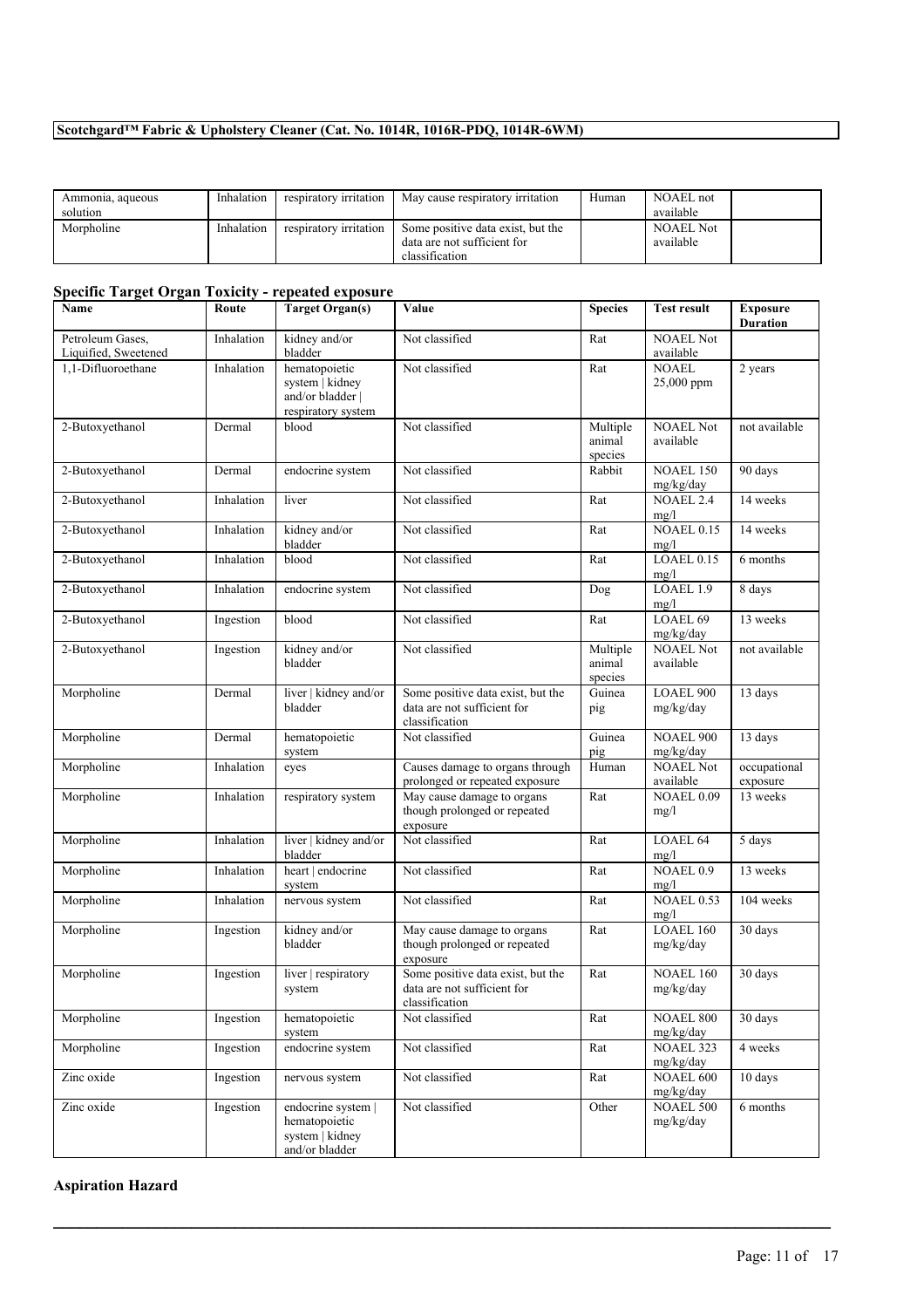| Ammonia, aqueous | Inhalation | respiratory irritation | May cause respiratory irritation  | Human | NOAEL not        |  |
|------------------|------------|------------------------|-----------------------------------|-------|------------------|--|
| solution         |            |                        |                                   |       | available        |  |
| Morpholine       | Inhalation | respiratory irritation | Some positive data exist, but the |       | <b>NOAEL Not</b> |  |
|                  |            |                        | data are not sufficient for       |       | available        |  |
|                  |            |                        | classification                    |       |                  |  |

# **Specific Target Organ Toxicity - repeated exposure**

| Name                                     | Route      | <b>Target Organ(s)</b>                                                     | Value                                                                              | <b>Species</b>                | <b>Test result</b>            | <b>Exposure</b><br><b>Duration</b> |
|------------------------------------------|------------|----------------------------------------------------------------------------|------------------------------------------------------------------------------------|-------------------------------|-------------------------------|------------------------------------|
| Petroleum Gases,<br>Liquified, Sweetened | Inhalation | kidney and/or<br>bladder                                                   | Not classified                                                                     | Rat                           | <b>NOAEL Not</b><br>available |                                    |
| 1,1-Difluoroethane                       | Inhalation | hematopoietic<br>system   kidney<br>and/or bladder  <br>respiratory system | Not classified                                                                     | Rat                           | <b>NOAEL</b><br>25,000 ppm    | 2 years                            |
| 2-Butoxyethanol                          | Dermal     | blood                                                                      | Not classified                                                                     | Multiple<br>animal<br>species | <b>NOAEL Not</b><br>available | not available                      |
| 2-Butoxyethanol                          | Dermal     | endocrine system                                                           | Not classified                                                                     | Rabbit                        | <b>NOAEL 150</b><br>mg/kg/day | 90 days                            |
| 2-Butoxyethanol                          | Inhalation | liver                                                                      | Not classified                                                                     | Rat                           | <b>NOAEL 2.4</b><br>mg/l      | 14 weeks                           |
| 2-Butoxyethanol                          | Inhalation | kidney and/or<br>bladder                                                   | Not classified                                                                     | Rat                           | <b>NOAEL 0.15</b><br>mg/l     | 14 weeks                           |
| 2-Butoxyethanol                          | Inhalation | blood                                                                      | Not classified                                                                     | Rat                           | LOAEL 0.15<br>mg/l            | 6 months                           |
| 2-Butoxyethanol                          | Inhalation | endocrine system                                                           | Not classified                                                                     | Dog                           | LOAEL 1.9<br>mg/l             | 8 days                             |
| 2-Butoxyethanol                          | Ingestion  | blood                                                                      | Not classified                                                                     | Rat                           | LOAEL 69<br>mg/kg/day         | 13 weeks                           |
| 2-Butoxyethanol                          | Ingestion  | kidney and/or<br>bladder                                                   | Not classified                                                                     | Multiple<br>animal<br>species | <b>NOAEL Not</b><br>available | not available                      |
| Morpholine                               | Dermal     | liver   kidney and/or<br>bladder                                           | Some positive data exist, but the<br>data are not sufficient for<br>classification | Guinea<br>pig                 | <b>LOAEL 900</b><br>mg/kg/day | 13 days                            |
| Morpholine                               | Dermal     | hematopoietic<br>system                                                    | Not classified                                                                     | Guinea<br>pig                 | <b>NOAEL 900</b><br>mg/kg/day | 13 days                            |
| Morpholine                               | Inhalation | eyes                                                                       | Causes damage to organs through<br>prolonged or repeated exposure                  | Human                         | <b>NOAEL Not</b><br>available | occupational<br>exposure           |
| Morpholine                               | Inhalation | respiratory system                                                         | May cause damage to organs<br>though prolonged or repeated<br>exposure             | Rat                           | <b>NOAEL 0.09</b><br>mg/l     | 13 weeks                           |
| Morpholine                               | Inhalation | liver   kidney and/or<br>bladder                                           | Not classified                                                                     | Rat                           | LOAEL 64<br>mg/l              | 5 days                             |
| Morpholine                               | Inhalation | heart   endocrine<br>system                                                | Not classified                                                                     | Rat                           | NOAEL 0.9<br>mg/l             | 13 weeks                           |
| Morpholine                               | Inhalation | nervous system                                                             | Not classified                                                                     | Rat                           | <b>NOAEL 0.53</b><br>mg/l     | 104 weeks                          |
| Morpholine                               | Ingestion  | kidney and/or<br>bladder                                                   | May cause damage to organs<br>though prolonged or repeated<br>exposure             | Rat                           | LOAEL 160<br>mg/kg/day        | 30 days                            |
| Morpholine                               | Ingestion  | liver   respiratory<br>system                                              | Some positive data exist, but the<br>data are not sufficient for<br>classification | Rat                           | <b>NOAEL 160</b><br>mg/kg/day | 30 days                            |
| Morpholine                               | Ingestion  | hematopoietic<br>system                                                    | Not classified                                                                     | Rat                           | NOAEL 800<br>mg/kg/day        | 30 days                            |
| Morpholine                               | Ingestion  | endocrine system                                                           | Not classified                                                                     | Rat                           | NOAEL 323<br>mg/kg/day        | 4 weeks                            |
| Zinc oxide                               | Ingestion  | nervous system                                                             | Not classified                                                                     | Rat                           | NOAEL 600<br>mg/kg/day        | 10 days                            |
| Zinc oxide                               | Ingestion  | endocrine system  <br>hematopoietic<br>system   kidney<br>and/or bladder   | Not classified                                                                     | Other                         | <b>NOAEL 500</b><br>mg/kg/day | 6 months                           |

 $\mathcal{L}_\mathcal{L} = \mathcal{L}_\mathcal{L} = \mathcal{L}_\mathcal{L} = \mathcal{L}_\mathcal{L} = \mathcal{L}_\mathcal{L} = \mathcal{L}_\mathcal{L} = \mathcal{L}_\mathcal{L} = \mathcal{L}_\mathcal{L} = \mathcal{L}_\mathcal{L} = \mathcal{L}_\mathcal{L} = \mathcal{L}_\mathcal{L} = \mathcal{L}_\mathcal{L} = \mathcal{L}_\mathcal{L} = \mathcal{L}_\mathcal{L} = \mathcal{L}_\mathcal{L} = \mathcal{L}_\mathcal{L} = \mathcal{L}_\mathcal{L}$ 

# **Aspiration Hazard**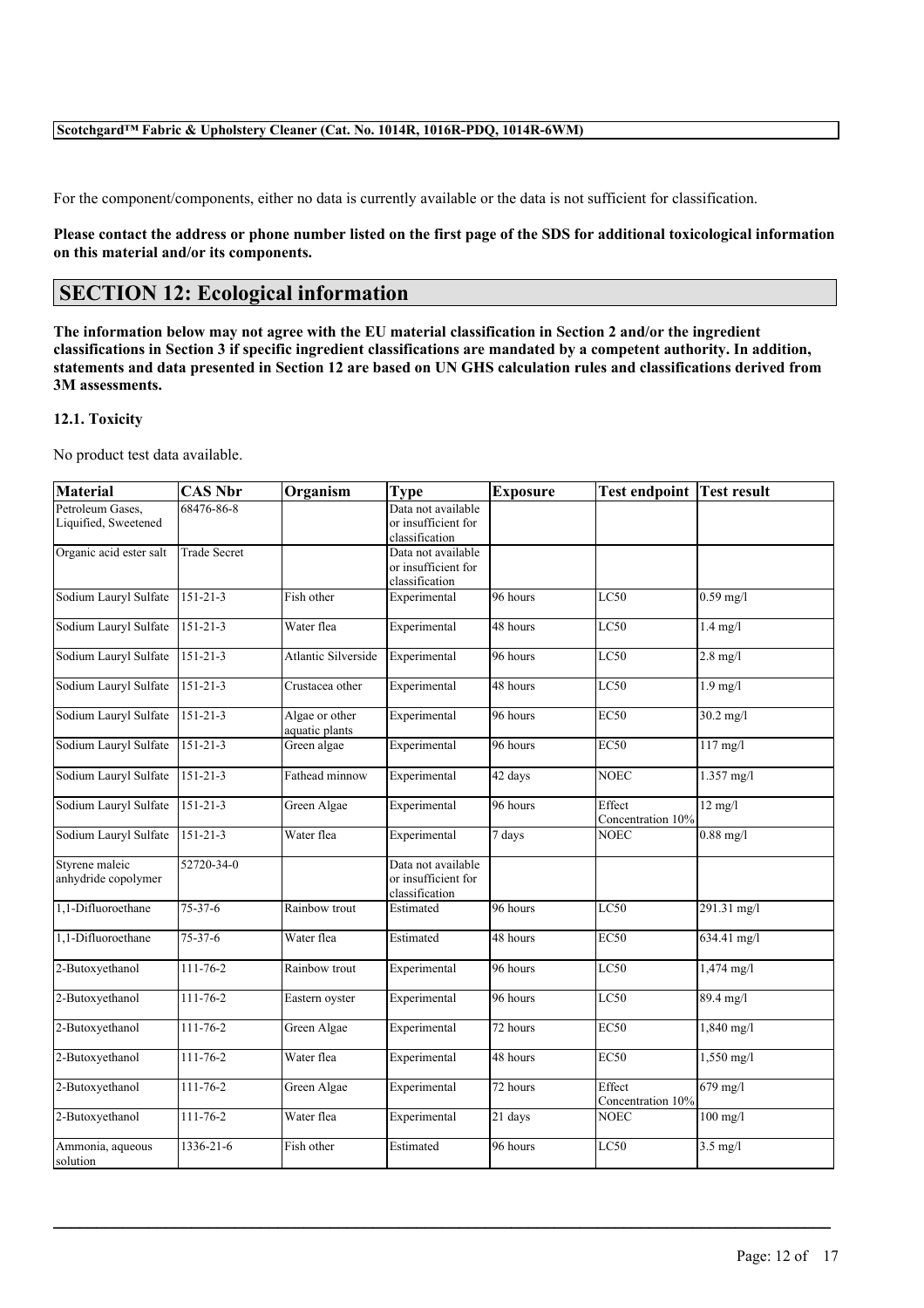For the component/components, either no data is currently available or the data is not sufficient for classification.

Please contact the address or phone number listed on the first page of the SDS for additional toxicological information **on this material and/or its components.**

# **SECTION 12: Ecological information**

The information below may not agree with the EU material classification in Section 2 and/or the ingredient classifications in Section 3 if specific ingredient classifications are mandated by a competent authority. In addition, statements and data presented in Section 12 are based on UN GHS calculation rules and classifications derived from **3M assessments.**

### **12.1. Toxicity**

No product test data available.

| <b>Material</b>                          | <b>CAS Nbr</b>      | Organism                         | <b>Type</b>                                                 | <b>Exposure</b> | <b>Test endpoint Test result</b> |                                     |
|------------------------------------------|---------------------|----------------------------------|-------------------------------------------------------------|-----------------|----------------------------------|-------------------------------------|
| Petroleum Gases,<br>Liquified, Sweetened | 68476-86-8          |                                  | Data not available<br>or insufficient for<br>classification |                 |                                  |                                     |
| Organic acid ester salt                  | <b>Trade Secret</b> |                                  | Data not available<br>or insufficient for<br>classification |                 |                                  |                                     |
| Sodium Lauryl Sulfate                    | $151 - 21 - 3$      | Fish other                       | Experimental                                                | 96 hours        | LC50                             | $0.59$ mg/l                         |
| Sodium Lauryl Sulfate                    | $151 - 21 - 3$      | Water flea                       | Experimental                                                | 48 hours        | LC50                             | $1.4 \text{ mg/l}$                  |
| Sodium Lauryl Sulfate                    | $151 - 21 - 3$      | <b>Atlantic Silverside</b>       | Experimental                                                | 96 hours        | LC50                             | $2.8$ mg/l                          |
| Sodium Lauryl Sulfate                    | $151 - 21 - 3$      | Crustacea other                  | Experimental                                                | 48 hours        | LC50                             | $1.9 \text{ mg/l}$                  |
| Sodium Lauryl Sulfate                    | $151 - 21 - 3$      | Algae or other<br>aquatic plants | Experimental                                                | 96 hours        | <b>EC50</b>                      | $30.2 \text{ mg}/1$                 |
| Sodium Lauryl Sulfate                    | $151 - 21 - 3$      | Green algae                      | Experimental                                                | 96 hours        | <b>EC50</b>                      | $117 \overline{\text{mg}/\text{l}}$ |
| Sodium Lauryl Sulfate                    | 151-21-3            | Fathead minnow                   | Experimental                                                | 42 days         | <b>NOEC</b>                      | $1.357$ mg/l                        |
| Sodium Lauryl Sulfate                    | 151-21-3            | Green Algae                      | Experimental                                                | 96 hours        | Effect<br>Concentration 10%      | $12 \text{ mg/l}$                   |
| Sodium Lauryl Sulfate                    | $151 - 21 - 3$      | Water flea                       | Experimental                                                | 7 days          | <b>NOEC</b>                      | $0.88$ mg/l                         |
| Styrene maleic<br>anhydride copolymer    | 52720-34-0          |                                  | Data not available<br>or insufficient for<br>classification |                 |                                  |                                     |
| 1,1-Difluoroethane                       | $75 - 37 - 6$       | Rainbow trout                    | Estimated                                                   | 96 hours        | LC50                             | 291.31 mg/l                         |
| 1,1-Difluoroethane                       | 75-37-6             | Water flea                       | Estimated                                                   | 48 hours        | <b>EC50</b>                      | 634.41 mg/l                         |
| 2-Butoxyethanol                          | $111 - 76 - 2$      | Rainbow trout                    | Experimental                                                | 96 hours        | LC50                             | 1,474 mg/l                          |
| 2-Butoxyethanol                          | 111-76-2            | Eastern oyster                   | Experimental                                                | 96 hours        | LC50                             | 89.4 mg/l                           |
| 2-Butoxyethanol                          | 111-76-2            | Green Algae                      | Experimental                                                | 72 hours        | <b>EC50</b>                      | $1,840$ mg/l                        |
| 2-Butoxyethanol                          | 111-76-2            | Water flea                       | Experimental                                                | 48 hours        | <b>EC50</b>                      | $1,550$ mg/l                        |
| 2-Butoxyethanol                          | 111-76-2            | Green Algae                      | Experimental                                                | 72 hours        | Effect<br>Concentration 10%      | $679$ mg/l                          |
| 2-Butoxyethanol                          | $111 - 76 - 2$      | Water flea                       | Experimental                                                | 21 days         | <b>NOEC</b>                      | $100$ mg/l                          |
| Ammonia, aqueous<br>solution             | 1336-21-6           | Fish other                       | Estimated                                                   | 96 hours        | LC50                             | $3.5$ mg/l                          |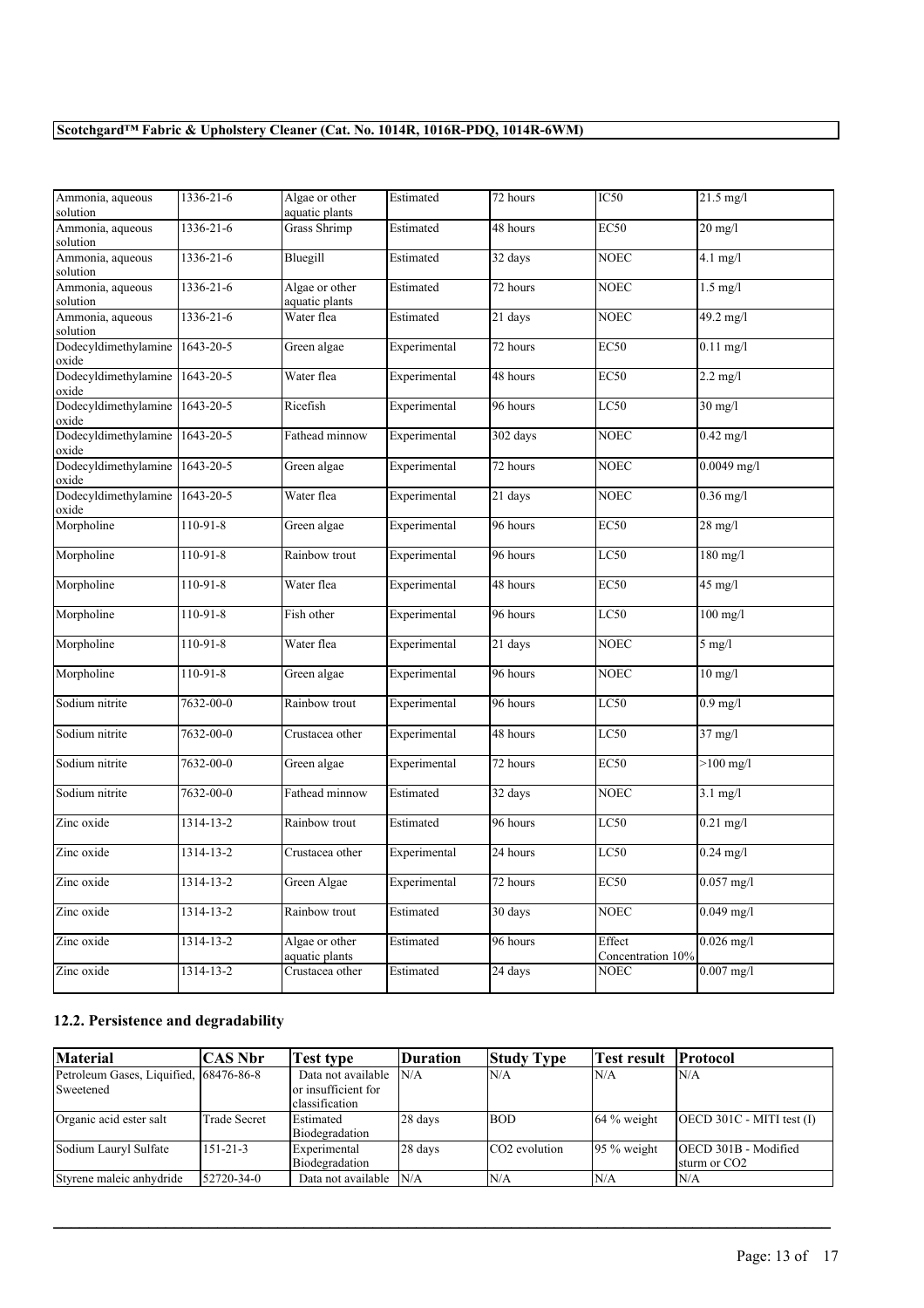| Ammonia, aqueous<br>solution            | 1336-21-6       | Algae or other<br>aquatic plants | Estimated    | 72 hours          | IC <sub>50</sub>            | $21.5 \text{ mg/l}$ |
|-----------------------------------------|-----------------|----------------------------------|--------------|-------------------|-----------------------------|---------------------|
| Ammonia, aqueous<br>solution            | 1336-21-6       | <b>Grass Shrimp</b>              | Estimated    | 48 hours          | EC50                        | $20 \text{ mg/l}$   |
| Ammonia, aqueous<br>solution            | 1336-21-6       | Bluegill                         | Estimated    | 32 days           | <b>NOEC</b>                 | $4.1$ mg/l          |
| Ammonia, aqueous<br>solution            | $1336 - 21 - 6$ | Algae or other<br>aquatic plants | Estimated    | 72 hours          | NOEC                        | $1.5$ mg/l          |
| Ammonia, aqueous<br>solution            | 1336-21-6       | Water flea                       | Estimated    | 21 days           | <b>NOEC</b>                 | 49.2 mg/l           |
| Dodecyldimethylamine 1643-20-5<br>oxide |                 | Green algae                      | Experimental | 72 hours          | <b>EC50</b>                 | $0.11$ mg/l         |
| Dodecyldimethylamine<br>oxide           | 1643-20-5       | Water flea                       | Experimental | 48 hours          | <b>EC50</b>                 | $2.2 \text{ mg/l}$  |
| Dodecyldimethylamine<br>oxide           | 1643-20-5       | Ricefish                         | Experimental | 96 hours          | LC50                        | $30 \text{ mg/l}$   |
| Dodecyldimethylamine 1643-20-5<br>oxide |                 | Fathead minnow                   | Experimental | 302 days          | <b>NOEC</b>                 | $0.42$ mg/l         |
| Dodecyldimethylamine 1643-20-5<br>oxide |                 | Green algae                      | Experimental | 72 hours          | <b>NOEC</b>                 | $0.0049$ mg/l       |
| Dodecyldimethylamine<br>oxide           | $1643 - 20 - 5$ | Water flea                       | Experimental | 21 days           | <b>NOEC</b>                 | $0.36$ mg/l         |
| Morpholine                              | $110-91-8$      | Green algae                      | Experimental | 96 hours          | <b>EC50</b>                 | $28$ mg/l           |
| Morpholine                              | $110-91-8$      | Rainbow trout                    | Experimental | 96 hours          | LC50                        | $180$ mg/l          |
| Morpholine                              | $110-91-8$      | Water flea                       | Experimental | 48 hours          | EC50                        | $45$ mg/l           |
| Morpholine                              | $110-91-8$      | Fish other                       | Experimental | 96 hours          | LC50                        | $100$ mg/l          |
| Morpholine                              | $110-91-8$      | Water flea                       | Experimental | 21 days           | <b>NOEC</b>                 | $5$ mg/l            |
| Morpholine                              | $110-91-8$      | Green algae                      | Experimental | 96 hours          | <b>NOEC</b>                 | $10$ mg/l           |
| Sodium nitrite                          | 7632-00-0       | Rainbow trout                    | Experimental | 96 hours          | LC50                        | $0.9$ mg/l          |
| Sodium nitrite                          | 7632-00-0       | Crustacea other                  | Experimental | 48 hours          | LC50                        | $37$ mg/l           |
| Sodium nitrite                          | 7632-00-0       | Green algae                      | Experimental | 72 hours          | <b>EC50</b>                 | $>100$ mg/l         |
| Sodium nitrite                          | 7632-00-0       | Fathead minnow                   | Estimated    | 32 days           | NOEC                        | $3.1$ mg/l          |
| Zinc oxide                              | 1314-13-2       | Rainbow trout                    | Estimated    | 96 hours          | LC50                        | $0.21$ mg/l         |
| Zinc oxide                              | 1314-13-2       | Crustacea other                  | Experimental | 24 hours          | LC50                        | $0.24$ mg/l         |
| Zinc oxide                              | 1314-13-2       | Green Algae                      | Experimental | 72 hours          | <b>EC50</b>                 | $0.057$ mg/l        |
| Zinc oxide                              | 1314-13-2       | Rainbow trout                    | Estimated    | 30 days           | <b>NOEC</b>                 | $0.049$ mg/l        |
| Zinc oxide                              | $1314 - 13 - 2$ | Algae or other<br>aquatic plants | Estimated    | 96 hours          | Effect<br>Concentration 10% | $0.026$ mg/l        |
| Zinc oxide                              | 1314-13-2       | Crustacea other                  | Estimated    | $24 \text{ days}$ | <b>NOEC</b>                 | $0.007$ mg/l        |

# **12.2. Persistence and degradability**

| <b>Material</b>                                      | CAS Nbr        | Test type                                                     | Duration | <b>Study Type</b>         | Test result              | <b>Protocol</b>                                         |
|------------------------------------------------------|----------------|---------------------------------------------------------------|----------|---------------------------|--------------------------|---------------------------------------------------------|
| Petroleum Gases, Liquified, 168476-86-8<br>Sweetened |                | Data not available<br>lor insufficient for<br>lclassification | N/A      | N/A                       | <i>N/A</i>               | N/A                                                     |
| Organic acid ester salt                              | Trade Secret   | Estimated<br>Biodegradation                                   | 28 days  | <b>BOD</b>                | $164%$ weight            | $[OECD 301C - MITI test (I)]$                           |
| Sodium Lauryl Sulfate                                | $151 - 21 - 3$ | Experimental<br>Biodegradation                                | 28 days  | CO <sub>2</sub> evolution | $ 95 \% \text{ weight} $ | <b>OECD 301B - Modified</b><br>sturm or CO <sub>2</sub> |
| Styrene maleic anhydride                             | 52720-34-0     | Data not available N/A                                        |          | N/A                       | 'N/A                     | N/A                                                     |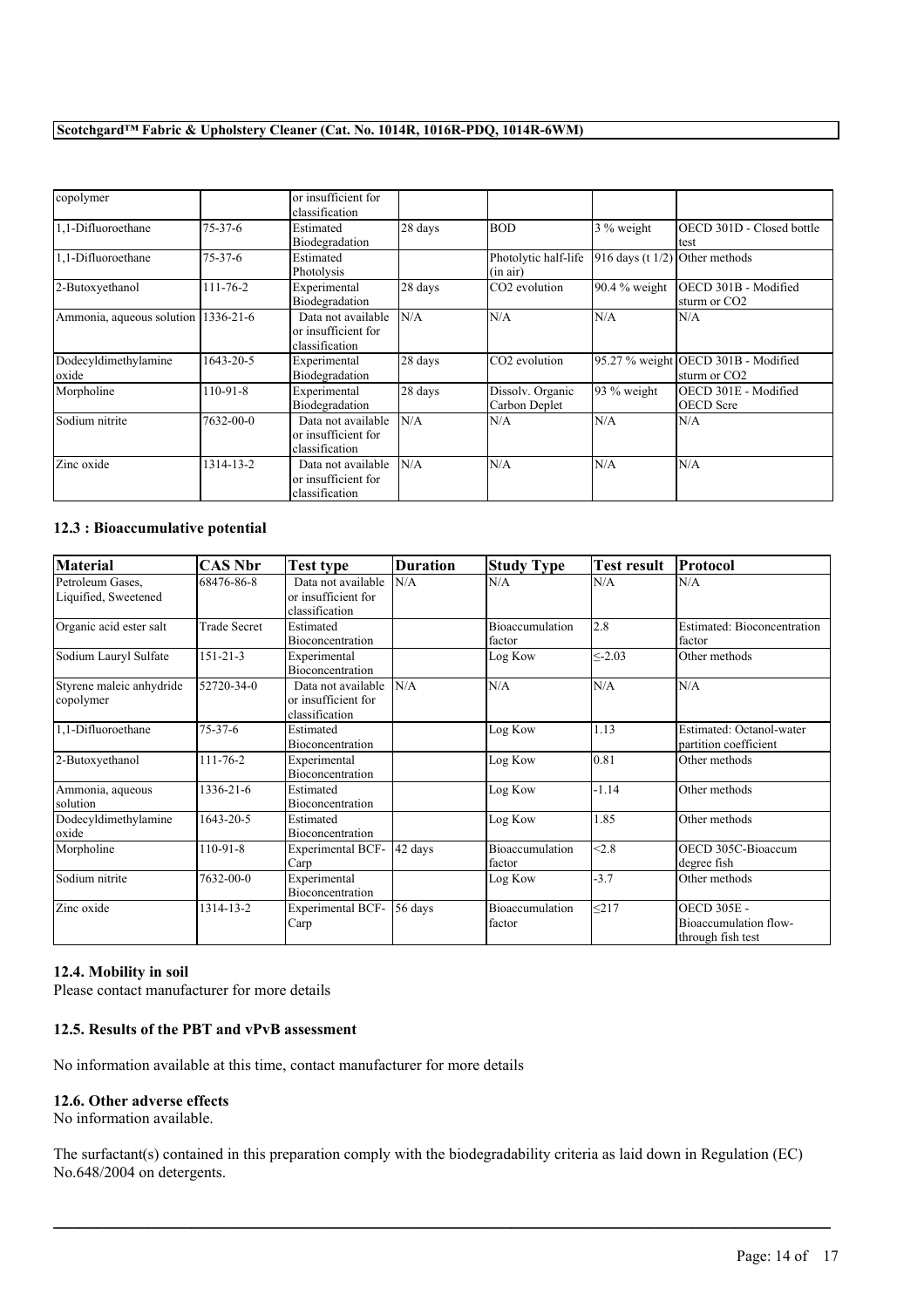| copolymer                     |                | or insufficient for<br>classification                       |         |                                   |                                  |                                                                 |
|-------------------------------|----------------|-------------------------------------------------------------|---------|-----------------------------------|----------------------------------|-----------------------------------------------------------------|
| 1,1-Difluoroethane            | $75-37-6$      | Estimated<br>Biodegradation                                 | 28 days | <b>BOD</b>                        | 3 % weight                       | OECD 301D - Closed bottle<br>test                               |
| 1,1-Difluoroethane            | $75-37-6$      | Estimated<br>Photolysis                                     |         | Photolytic half-life<br>(in air)  | $916$ days (t 1/2) Other methods |                                                                 |
| 2-Butoxyethanol               | $111 - 76 - 2$ | Experimental<br>Biodegradation                              | 28 days | CO <sub>2</sub> evolution         | $90.4%$ weight                   | OECD 301B - Modified<br>sturm or CO <sub>2</sub>                |
| Ammonia, aqueous solution     | 1336-21-6      | Data not available<br>or insufficient for<br>classification | N/A     | N/A                               | N/A                              | N/A                                                             |
| Dodecyldimethylamine<br>oxide | 1643-20-5      | Experimental<br>Biodegradation                              | 28 days | CO <sub>2</sub> evolution         |                                  | 95.27 % weight OECD 301B - Modified<br>sturm or CO <sub>2</sub> |
| Morpholine                    | 110-91-8       | Experimental<br>Biodegradation                              | 28 days | Dissolv. Organic<br>Carbon Deplet | $93\%$ weight                    | OECD 301E - Modified<br><b>OECD</b> Scre                        |
| Sodium nitrite                | 7632-00-0      | Data not available<br>or insufficient for<br>classification | N/A     | N/A                               | N/A                              | N/A                                                             |
| Zinc oxide                    | 1314-13-2      | Data not available<br>or insufficient for<br>classification | N/A     | N/A                               | N/A                              | N/A                                                             |

### **12.3 : Bioaccumulative potential**

| <b>Material</b>                          | <b>CAS Nbr</b>  | <b>Test type</b>                                            | <b>Duration</b> | <b>Study Type</b>         | <b>Test result</b> | Protocol                                                         |
|------------------------------------------|-----------------|-------------------------------------------------------------|-----------------|---------------------------|--------------------|------------------------------------------------------------------|
| Petroleum Gases.<br>Liquified, Sweetened | 68476-86-8      | Data not available<br>or insufficient for<br>classification | N/A             | N/A                       | N/A                | N/A                                                              |
| Organic acid ester salt                  | Trade Secret    | Estimated<br><b>Bioconcentration</b>                        |                 | Bioaccumulation<br>factor | $\overline{2.8}$   | <b>Estimated: Bioconcentration</b><br>factor                     |
| Sodium Lauryl Sulfate                    | $151 - 21 - 3$  | Experimental<br><b>Bioconcentration</b>                     |                 | Log Kow                   | < 2.03             | Other methods                                                    |
| Styrene maleic anhydride<br>copolymer    | 52720-34-0      | Data not available<br>or insufficient for<br>classification | N/A             | N/A                       | N/A                | N/A                                                              |
| 1,1-Difluoroethane                       | $75-37-6$       | Estimated<br><b>Bioconcentration</b>                        |                 | Log Kow                   | 1.13               | Estimated: Octanol-water<br>partition coefficient                |
| 2-Butoxyethanol                          | $111 - 76 - 2$  | Experimental<br>Bioconcentration                            |                 | Log Kow                   | 0.81               | Other methods                                                    |
| Ammonia, aqueous<br>solution             | $1336 - 21 - 6$ | Estimated<br>Bioconcentration                               |                 | Log Kow                   | $-1.14$            | Other methods                                                    |
| Dodecyldimethylamine<br>oxide            | 1643-20-5       | Estimated<br><b>Bioconcentration</b>                        |                 | Log Kow                   | 1.85               | Other methods                                                    |
| Morpholine                               | $110-91-8$      | <b>Experimental BCF-</b><br>Carp                            | 42 days         | Bioaccumulation<br>factor | < 2.8              | OECD 305C-Bioaccum<br>degree fish                                |
| Sodium nitrite                           | 7632-00-0       | Experimental<br><b>Bioconcentration</b>                     |                 | Log Kow                   | $-3.7$             | Other methods                                                    |
| Zinc oxide                               | 1314-13-2       | <b>Experimental BCF-</b><br>Carp                            | 56 days         | Bioaccumulation<br>factor | < 217              | <b>OECD 305E -</b><br>Bioaccumulation flow-<br>through fish test |

### **12.4. Mobility in soil**

Please contact manufacturer for more details

# **12.5. Results of the PBT and vPvB assessment**

No information available at this time, contact manufacturer for more details

## **12.6. Other adverse effects**

No information available.

The surfactant(s) contained in this preparation comply with the biodegradability criteria as laid down in Regulation (EC) No.648/2004 on detergents.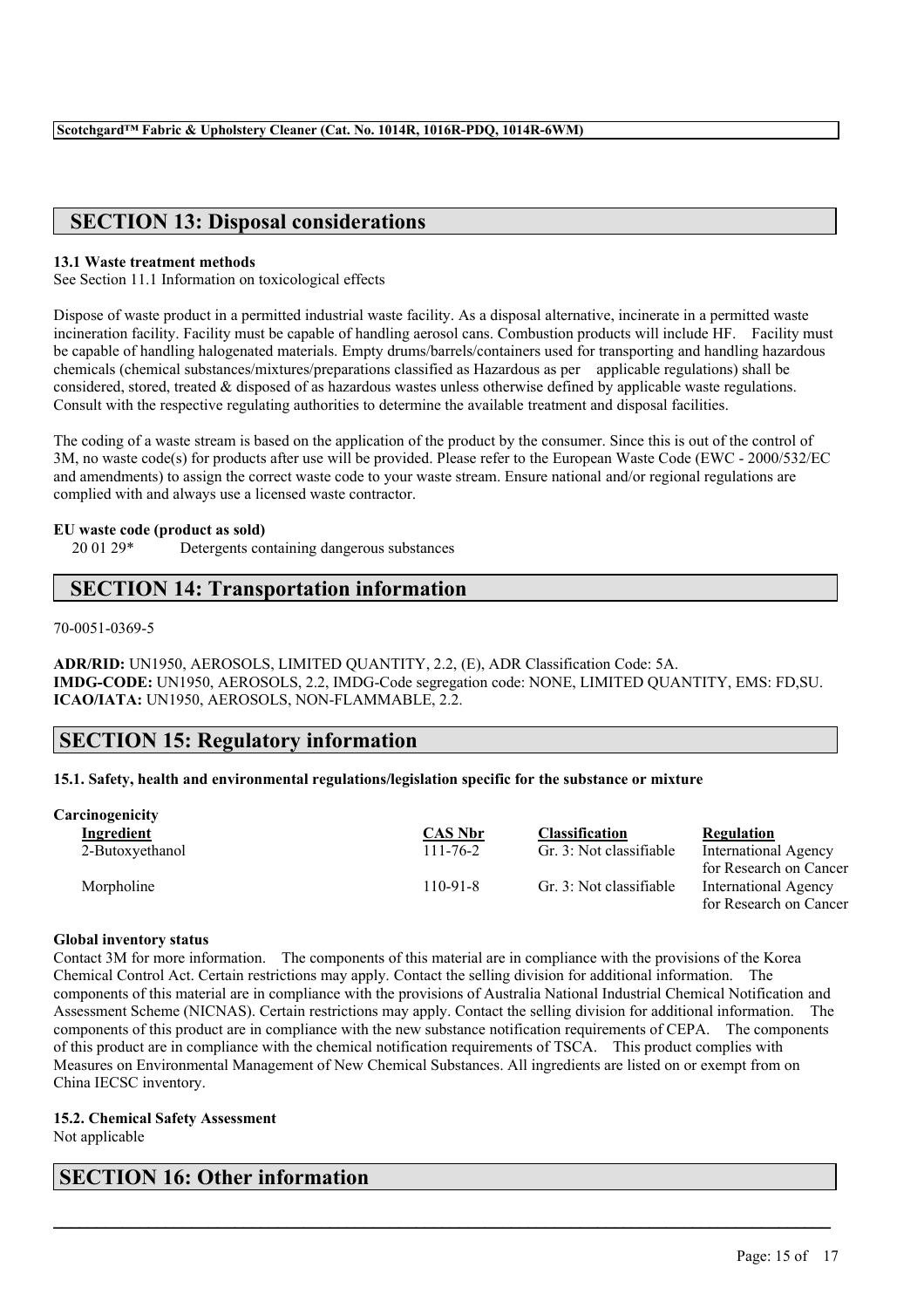# **SECTION 13: Disposal considerations**

### **13.1 Waste treatment methods**

See Section 11.1 Information on toxicological effects

Dispose of waste product in a permitted industrial waste facility. As a disposal alternative, incinerate in a permitted waste incineration facility. Facility must be capable of handling aerosol cans. Combustion products will include HF. Facility must be capable of handling halogenated materials. Empty drums/barrels/containers used for transporting and handling hazardous chemicals (chemical substances/mixtures/preparations classified as Hazardous as per applicable regulations) shall be considered, stored, treated & disposed of as hazardous wastes unless otherwise defined by applicable waste regulations. Consult with the respective regulating authorities to determine the available treatment and disposal facilities.

The coding of a waste stream is based on the application of the product by the consumer. Since this is out of the control of 3M, no waste code(s) for products after use will be provided. Please refer to the European Waste Code (EWC - 2000/532/EC and amendments) to assign the correct waste code to your waste stream. Ensure national and/or regional regulations are complied with and always use a licensed waste contractor.

## **EU waste code (product as sold)**

20 01 29\* Detergents containing dangerous substances

# **SECTION 14: Transportation information**

70-0051-0369-5

**ADR/RID:** UN1950, AEROSOLS, LIMITED QUANTITY, 2.2, (E), ADR Classification Code: 5A. **IMDG-CODE:** UN1950, AEROSOLS, 2.2, IMDG-Code segregation code: NONE, LIMITED QUANTITY, EMS: FD,SU. **ICAO/IATA:** UN1950, AEROSOLS, NON-FLAMMABLE, 2.2.

# **SECTION 15: Regulatory information**

### **15.1. Safety, health and environmental regulations/legislation specific for the substance or mixture**

| <b>Carcinogenicity</b> |                |                         |                                                       |
|------------------------|----------------|-------------------------|-------------------------------------------------------|
| <b>Ingredient</b>      | <b>CAS Nbr</b> | Classification          | Regulation                                            |
| 2-Butoxyethanol        | $111 - 76 - 2$ | Gr. 3: Not classifiable | <b>International Agency</b><br>for Research on Cancer |
| Morpholine             | $110-91-8$     | Gr. 3: Not classifiable | International Agency<br>for Research on Cancer        |

### **Global inventory status**

Contact 3M for more information. The components of this material are in compliance with the provisions of the Korea Chemical Control Act. Certain restrictions may apply. Contact the selling division for additional information. The components of this material are in compliance with the provisions of Australia National Industrial Chemical Notification and Assessment Scheme (NICNAS). Certain restrictions may apply. Contact the selling division for additional information. The components of this product are in compliance with the new substance notification requirements of CEPA. The components of this product are in compliance with the chemical notification requirements of TSCA. This product complies with Measures on Environmental Management of New Chemical Substances. All ingredients are listed on or exempt from on China IECSC inventory.

 $\mathcal{L}_\mathcal{L} = \mathcal{L}_\mathcal{L} = \mathcal{L}_\mathcal{L} = \mathcal{L}_\mathcal{L} = \mathcal{L}_\mathcal{L} = \mathcal{L}_\mathcal{L} = \mathcal{L}_\mathcal{L} = \mathcal{L}_\mathcal{L} = \mathcal{L}_\mathcal{L} = \mathcal{L}_\mathcal{L} = \mathcal{L}_\mathcal{L} = \mathcal{L}_\mathcal{L} = \mathcal{L}_\mathcal{L} = \mathcal{L}_\mathcal{L} = \mathcal{L}_\mathcal{L} = \mathcal{L}_\mathcal{L} = \mathcal{L}_\mathcal{L}$ 

# **15.2. Chemical Safety Assessment**

Not applicable

# **SECTION 16: Other information**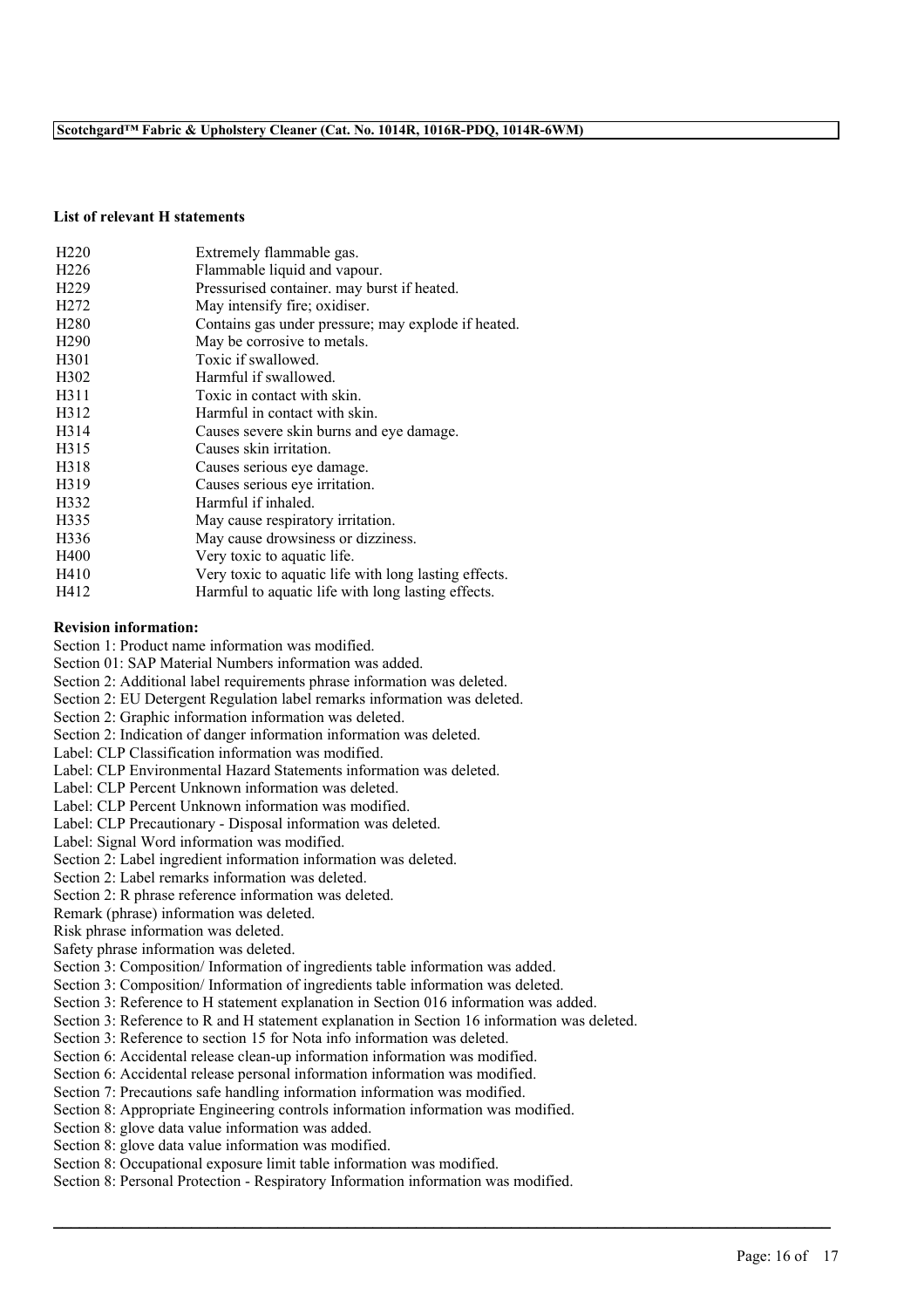### **List of relevant H statements**

| H <sub>220</sub>  | Extremely flammable gas.                              |
|-------------------|-------------------------------------------------------|
| H <sub>226</sub>  | Flammable liquid and vapour.                          |
| H <sub>229</sub>  | Pressurised container, may burst if heated.           |
| H <sub>272</sub>  | May intensify fire; oxidiser.                         |
| H <sub>280</sub>  | Contains gas under pressure; may explode if heated.   |
| H <sub>290</sub>  | May be corrosive to metals.                           |
| H <sub>301</sub>  | Toxic if swallowed.                                   |
| H <sub>3</sub> 02 | Harmful if swallowed.                                 |
| H311              | Toxic in contact with skin.                           |
| H312              | Harmful in contact with skin.                         |
| H <sub>3</sub> 14 | Causes severe skin burns and eye damage.              |
| H315              | Causes skin irritation.                               |
| H318              | Causes serious eye damage.                            |
| H319              | Causes serious eye irritation.                        |
| H332              | Harmful if inhaled.                                   |
| H335              | May cause respiratory irritation.                     |
| H336              | May cause drowsiness or dizziness.                    |
| H400              | Very toxic to aquatic life.                           |
| H410              | Very toxic to aquatic life with long lasting effects. |
| H412              | Harmful to aquatic life with long lasting effects.    |

### **Revision information:**

Section 1: Product name information was modified.

Section 01: SAP Material Numbers information was added.

Section 2: Additional label requirements phrase information was deleted.

Section 2: EU Detergent Regulation label remarks information was deleted.

Section 2: Graphic information information was deleted.

Section 2: Indication of danger information information was deleted.

Label: CLP Classification information was modified.

Label: CLP Environmental Hazard Statements information was deleted.

Label: CLP Percent Unknown information was deleted.

Label: CLP Percent Unknown information was modified.

Label: CLP Precautionary - Disposal information was deleted.

Label: Signal Word information was modified.

Section 2: Label ingredient information information was deleted.

Section 2: Label remarks information was deleted.

Section 2: R phrase reference information was deleted.

Remark (phrase) information was deleted.

Risk phrase information was deleted.

Safety phrase information was deleted.

Section 3: Composition/ Information of ingredients table information was added.

Section 3: Composition/ Information of ingredients table information was deleted.

Section 3: Reference to H statement explanation in Section 016 information was added.

Section 3: Reference to R and H statement explanation in Section 16 information was deleted.

 $\mathcal{L}_\mathcal{L} = \mathcal{L}_\mathcal{L} = \mathcal{L}_\mathcal{L} = \mathcal{L}_\mathcal{L} = \mathcal{L}_\mathcal{L} = \mathcal{L}_\mathcal{L} = \mathcal{L}_\mathcal{L} = \mathcal{L}_\mathcal{L} = \mathcal{L}_\mathcal{L} = \mathcal{L}_\mathcal{L} = \mathcal{L}_\mathcal{L} = \mathcal{L}_\mathcal{L} = \mathcal{L}_\mathcal{L} = \mathcal{L}_\mathcal{L} = \mathcal{L}_\mathcal{L} = \mathcal{L}_\mathcal{L} = \mathcal{L}_\mathcal{L}$ 

Section 3: Reference to section 15 for Nota info information was deleted.

Section 6: Accidental release clean-up information information was modified.

Section 6: Accidental release personal information information was modified.

Section 7: Precautions safe handling information information was modified.

Section 8: Appropriate Engineering controls information information was modified.

Section 8: glove data value information was added.

Section 8: glove data value information was modified.

Section 8: Occupational exposure limit table information was modified.

Section 8: Personal Protection - Respiratory Information information was modified.